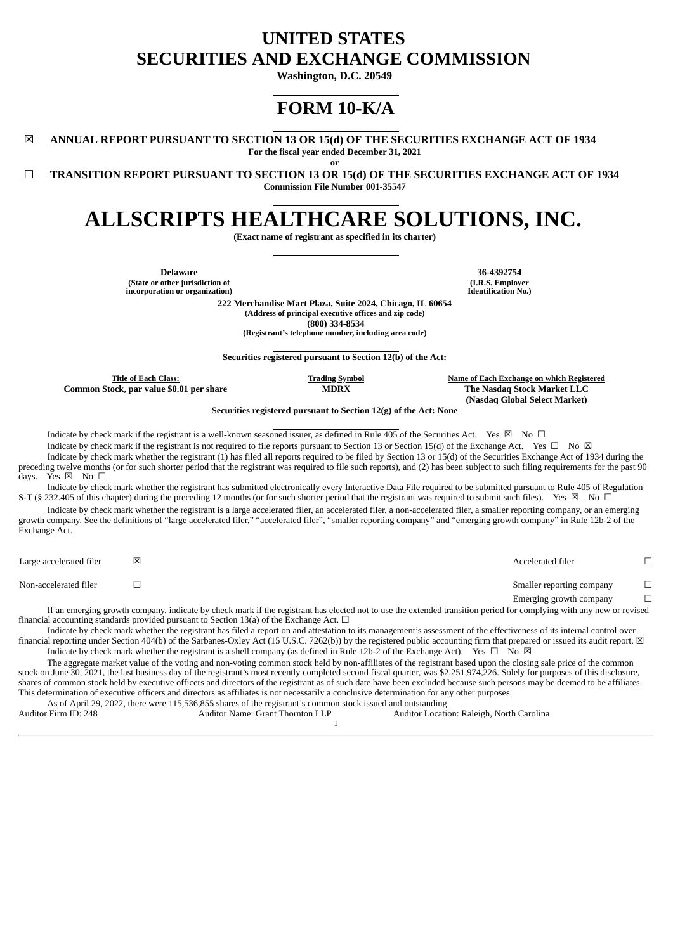# **UNITED STATES SECURITIES AND EXCHANGE COMMISSION**

**Washington, D.C. 20549**

# **FORM 10-K/A**

☒ **ANNUAL REPORT PURSUANT TO SECTION 13 OR 15(d) OF THE SECURITIES EXCHANGE ACT OF 1934 For the fiscal year ended December 31, 2021**

**or**

☐ **TRANSITION REPORT PURSUANT TO SECTION 13 OR 15(d) OF THE SECURITIES EXCHANGE ACT OF 1934 Commission File Number 001-35547**

# **ALLSCRIPTS HEALTHCARE SOLUTIONS, INC.**

**(Exact name of registrant as specified in its charter)**

**Delaware 36-4392754 (State or other jurisdiction of incorporation or organization)**

**(I.R.S. Employer Identification No.)**

**222 Merchandise Mart Plaza, Suite 2024, Chicago, IL 60654 (Address of principal executive offices and zip code) (800) 334-8534 (Registrant's telephone number, including area code)**

**Securities registered pursuant to Section 12(b) of the Act:**

**Common Stock, par value \$0.01 per share MDRX The Nasdaq Stock Market LLC**

**Title of Each Class: Trading Symbol Name of Each Exchange on which Registered (Nasdaq Global Select Market)**

**Securities registered pursuant to Section 12(g) of the Act: None**

Indicate by check mark if the registrant is a well-known seasoned issuer, as defined in Rule 405 of the Securities Act. Yes  $\boxtimes$  No  $\Box$ 

Indicate by check mark if the registrant is not required to file reports pursuant to Section 13 or Section 15(d) of the Exchange Act. Yes  $\Box$  No  $\boxtimes$ Indicate by check mark whether the registrant (1) has filed all reports required to be filed by Section 13 or 15(d) of the Securities Exchange Act of 1934 during the preceding twelve months (or for such shorter period that the registrant was required to file such reports), and (2) has been subject to such filing requirements for the past 90 days. Yes  $\boxtimes$  No  $\square$ 

Indicate by check mark whether the registrant has submitted electronically every Interactive Data File required to be submitted pursuant to Rule 405 of Regulation S-T (§ 232.405 of this chapter) during the preceding 12 months (or for such shorter period that the registrant was required to submit such files). Yes  $\boxtimes$  No  $\Box$ 

Indicate by check mark whether the registrant is a large accelerated filer, an accelerated filer, a non-accelerated filer, a smaller reporting company, or an emerging growth company. See the definitions of "large accelerated filer," "accelerated filer", "smaller reporting company" and "emerging growth company" in Rule 12b-2 of the Exchange Act.

Large accelerated filer ☒ Accelerated filer ☐ Non-accelerated filer ☐ Smaller reporting company ☐ Emerging growth company  $\Box$ 

If an emerging growth company, indicate by check mark if the registrant has elected not to use the extended transition period for complying with any new or revised financial accounting standards provided pursuant to Section 13(a) of the Exchange Act.  $\Box$ 

Indicate by check mark whether the registrant has filed a report on and attestation to its management's assessment of the effectiveness of its internal control over financial reporting under Section 404(b) of the Sarbanes-Oxley Act (15 U.S.C. 7262(b)) by the registered public accounting firm that prepared or issued its audit report.  $\boxtimes$ Indicate by check mark whether the registrant is a shell company (as defined in Rule 12b-2 of the Exchange Act). Yes  $\Box$  No  $\boxtimes$ 

The aggregate market value of the voting and non-voting common stock held by non-affiliates of the registrant based upon the closing sale price of the common stock on June 30, 2021, the last business day of the registrant's most recently completed second fiscal quarter, was \$2,251,974,226. Solely for purposes of this disclosure, shares of common stock held by executive officers and directors of the registrant as of such date have been excluded because such persons may be deemed to be affiliates. This determination of executive officers and directors as affiliates is not necessarily a conclusive determination for any other purposes.

As of April 29, 2022, there were 115,536,855 shares of the registrant's common stock issued and outstanding.

| Auditor Firm ID: 248 | Auditor Name: Grant Thornton LLP | Auditor Location: Raleigh, North Carolina |
|----------------------|----------------------------------|-------------------------------------------|
|                      |                                  |                                           |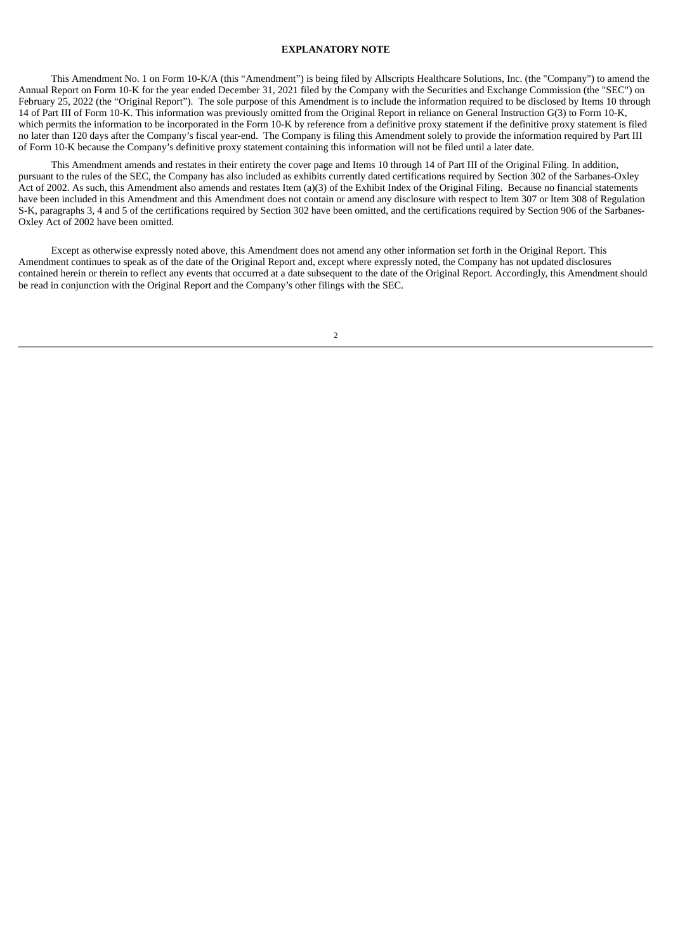#### **EXPLANATORY NOTE**

This Amendment No. 1 on Form 10-K/A (this "Amendment") is being filed by Allscripts Healthcare Solutions, Inc. (the "Company") to amend the Annual Report on Form 10-K for the year ended December 31, 2021 filed by the Company with the Securities and Exchange Commission (the "SEC") on February 25, 2022 (the "Original Report"). The sole purpose of this Amendment is to include the information required to be disclosed by Items 10 through 14 of Part III of Form 10-K. This information was previously omitted from the Original Report in reliance on General Instruction G(3) to Form 10-K, which permits the information to be incorporated in the Form 10-K by reference from a definitive proxy statement if the definitive proxy statement is filed no later than 120 days after the Company's fiscal year-end. The Company is filing this Amendment solely to provide the information required by Part III of Form 10-K because the Company's definitive proxy statement containing this information will not be filed until a later date.

This Amendment amends and restates in their entirety the cover page and Items 10 through 14 of Part III of the Original Filing. In addition, pursuant to the rules of the SEC, the Company has also included as exhibits currently dated certifications required by Section 302 of the Sarbanes-Oxley Act of 2002. As such, this Amendment also amends and restates Item (a)(3) of the Exhibit Index of the Original Filing. Because no financial statements have been included in this Amendment and this Amendment does not contain or amend any disclosure with respect to Item 307 or Item 308 of Regulation S-K, paragraphs 3, 4 and 5 of the certifications required by Section 302 have been omitted, and the certifications required by Section 906 of the Sarbanes-Oxley Act of 2002 have been omitted.

Except as otherwise expressly noted above, this Amendment does not amend any other information set forth in the Original Report. This Amendment continues to speak as of the date of the Original Report and, except where expressly noted, the Company has not updated disclosures contained herein or therein to reflect any events that occurred at a date subsequent to the date of the Original Report. Accordingly, this Amendment should be read in conjunction with the Original Report and the Company's other filings with the SEC.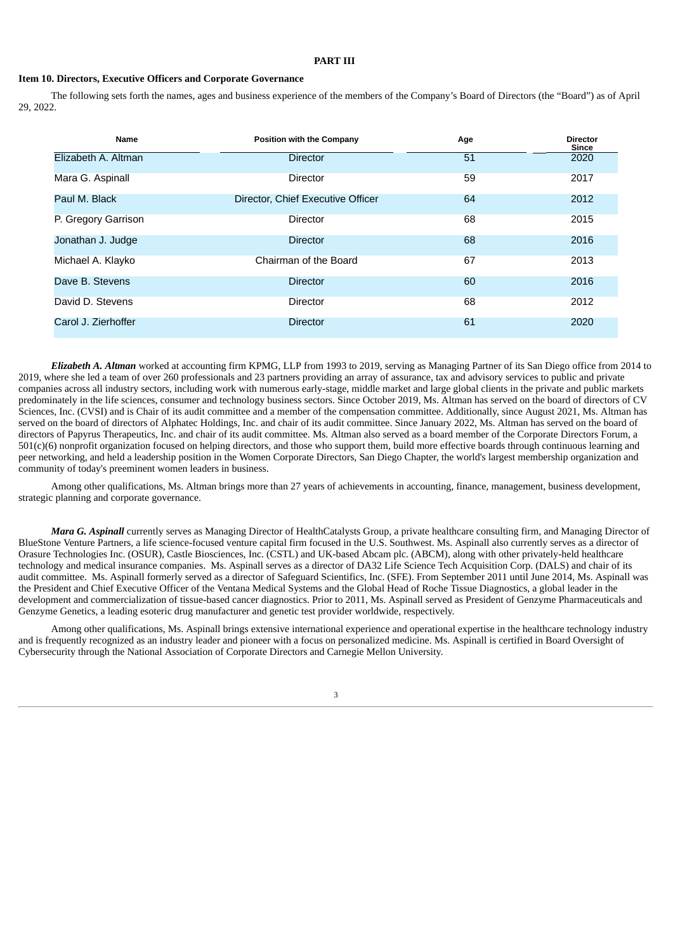### **PART III**

#### **Item 10. Directors, Executive Officers and Corporate Governance**

The following sets forth the names, ages and business experience of the members of the Company's Board of Directors (the "Board") as of April 29, 2022.

| Name                | <b>Position with the Company</b>  | Age | <b>Director</b><br>Since |
|---------------------|-----------------------------------|-----|--------------------------|
| Elizabeth A. Altman | <b>Director</b>                   | 51  | 2020                     |
| Mara G. Aspinall    | <b>Director</b>                   | 59  | 2017                     |
| Paul M. Black       | Director, Chief Executive Officer | 64  | 2012                     |
| P. Gregory Garrison | <b>Director</b>                   | 68  | 2015                     |
| Jonathan J. Judge   | <b>Director</b>                   | 68  | 2016                     |
| Michael A. Klayko   | Chairman of the Board             | 67  | 2013                     |
| Dave B. Stevens     | <b>Director</b>                   | 60  | 2016                     |
| David D. Stevens    | <b>Director</b>                   | 68  | 2012                     |
| Carol J. Zierhoffer | <b>Director</b>                   | 61  | 2020                     |

*Elizabeth A. Altman* worked at accounting firm KPMG, LLP from 1993 to 2019, serving as Managing Partner of its San Diego office from 2014 to 2019, where she led a team of over 260 professionals and 23 partners providing an array of assurance, tax and advisory services to public and private companies across all industry sectors, including work with numerous early-stage, middle market and large global clients in the private and public markets predominately in the life sciences, consumer and technology business sectors. Since October 2019, Ms. Altman has served on the board of directors of CV Sciences, Inc. (CVSI) and is Chair of its audit committee and a member of the compensation committee. Additionally, since August 2021, Ms. Altman has served on the board of directors of Alphatec Holdings, Inc. and chair of its audit committee. Since January 2022, Ms. Altman has served on the board of directors of Papyrus Therapeutics, Inc. and chair of its audit committee. Ms. Altman also served as a board member of the Corporate Directors Forum, a 501(c)(6) nonprofit organization focused on helping directors, and those who support them, build more effective boards through continuous learning and peer networking, and held a leadership position in the Women Corporate Directors, San Diego Chapter, the world's largest membership organization and community of today's preeminent women leaders in business.

Among other qualifications, Ms. Altman brings more than 27 years of achievements in accounting, finance, management, business development, strategic planning and corporate governance.

*Mara G. Aspinall* currently serves as Managing Director of HealthCatalysts Group, a private healthcare consulting firm, and Managing Director of BlueStone Venture Partners, a life science-focused venture capital firm focused in the U.S. Southwest. Ms. Aspinall also currently serves as a director of Orasure Technologies Inc. (OSUR), Castle Biosciences, Inc. (CSTL) and UK-based Abcam plc. (ABCM), along with other privately-held healthcare technology and medical insurance companies. Ms. Aspinall serves as a director of DA32 Life Science Tech Acquisition Corp. (DALS) and chair of its audit committee. Ms. Aspinall formerly served as a director of Safeguard Scientifics, Inc. (SFE). From September 2011 until June 2014, Ms. Aspinall was the President and Chief Executive Officer of the Ventana Medical Systems and the Global Head of Roche Tissue Diagnostics, a global leader in the development and commercialization of tissue-based cancer diagnostics. Prior to 2011, Ms. Aspinall served as President of Genzyme Pharmaceuticals and Genzyme Genetics, a leading esoteric drug manufacturer and genetic test provider worldwide, respectively.

Among other qualifications, Ms. Aspinall brings extensive international experience and operational expertise in the healthcare technology industry and is frequently recognized as an industry leader and pioneer with a focus on personalized medicine. Ms. Aspinall is certified in Board Oversight of Cybersecurity through the National Association of Corporate Directors and Carnegie Mellon University.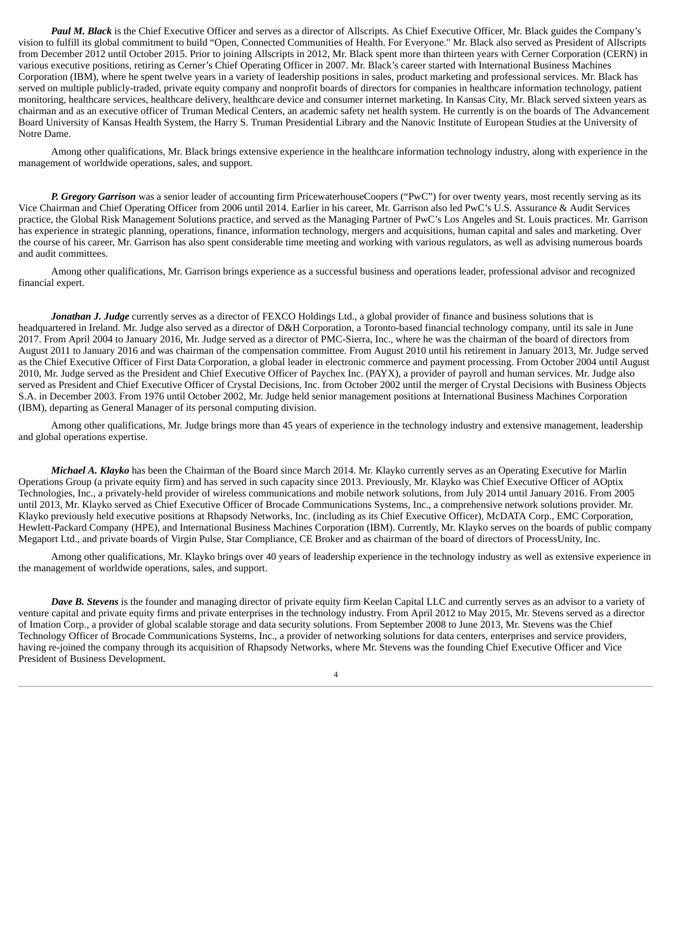*Paul M. Black* is the Chief Executive Officer and serves as a director of Allscripts. As Chief Executive Officer, Mr. Black guides the Company's vision to fulfill its global commitment to build "Open, Connected Communities of Health. For Everyone." Mr. Black also served as President of Allscripts from December 2012 until October 2015. Prior to joining Allscripts in 2012, Mr. Black spent more than thirteen years with Cerner Corporation (CERN) in various executive positions, retiring as Cerner's Chief Operating Officer in 2007. Mr. Black's career started with International Business Machines Corporation (IBM), where he spent twelve years in a variety of leadership positions in sales, product marketing and professional services. Mr. Black has served on multiple publicly-traded, private equity company and nonprofit boards of directors for companies in healthcare information technology, patient monitoring, healthcare services, healthcare delivery, healthcare device and consumer internet marketing. In Kansas City, Mr. Black served sixteen years as chairman and as an executive officer of Truman Medical Centers, an academic safety net health system. He currently is on the boards of The Advancement Board University of Kansas Health System, the Harry S. Truman Presidential Library and the Nanovic Institute of European Studies at the University of Notre Dame.

Among other qualifications, Mr. Black brings extensive experience in the healthcare information technology industry, along with experience in the management of worldwide operations, sales, and support.

*P. Gregory Garrison* was a senior leader of accounting firm PricewaterhouseCoopers ("PwC") for over twenty years, most recently serving as its Vice Chairman and Chief Operating Officer from 2006 until 2014. Earlier in his career, Mr. Garrison also led PwC's U.S. Assurance & Audit Services practice, the Global Risk Management Solutions practice, and served as the Managing Partner of PwC's Los Angeles and St. Louis practices. Mr. Garrison has experience in strategic planning, operations, finance, information technology, mergers and acquisitions, human capital and sales and marketing. Over the course of his career, Mr. Garrison has also spent considerable time meeting and working with various regulators, as well as advising numerous boards and audit committees.

Among other qualifications, Mr. Garrison brings experience as a successful business and operations leader, professional advisor and recognized financial expert.

*Jonathan J. Judge* currently serves as a director of FEXCO Holdings Ltd., a global provider of finance and business solutions that is headquartered in Ireland. Mr. Judge also served as a director of D&H Corporation, a Toronto-based financial technology company, until its sale in June 2017. From April 2004 to January 2016, Mr. Judge served as a director of PMC-Sierra, Inc., where he was the chairman of the board of directors from August 2011 to January 2016 and was chairman of the compensation committee. From August 2010 until his retirement in January 2013, Mr. Judge served as the Chief Executive Officer of First Data Corporation, a global leader in electronic commerce and payment processing. From October 2004 until August 2010, Mr. Judge served as the President and Chief Executive Officer of Paychex Inc. (PAYX), a provider of payroll and human services. Mr. Judge also served as President and Chief Executive Officer of Crystal Decisions, Inc. from October 2002 until the merger of Crystal Decisions with Business Objects S.A. in December 2003. From 1976 until October 2002, Mr. Judge held senior management positions at International Business Machines Corporation (IBM), departing as General Manager of its personal computing division.

Among other qualifications, Mr. Judge brings more than 45 years of experience in the technology industry and extensive management, leadership and global operations expertise.

*Michael A. Klayko* has been the Chairman of the Board since March 2014. Mr. Klayko currently serves as an Operating Executive for Marlin Operations Group (a private equity firm) and has served in such capacity since 2013. Previously, Mr. Klayko was Chief Executive Officer of AOptix Technologies, Inc., a privately-held provider of wireless communications and mobile network solutions, from July 2014 until January 2016. From 2005 until 2013, Mr. Klayko served as Chief Executive Officer of Brocade Communications Systems, Inc., a comprehensive network solutions provider. Mr. Klayko previously held executive positions at Rhapsody Networks, Inc. (including as its Chief Executive Officer), McDATA Corp., EMC Corporation, Hewlett-Packard Company (HPE), and International Business Machines Corporation (IBM). Currently, Mr. Klayko serves on the boards of public company Megaport Ltd., and private boards of Virgin Pulse, Star Compliance, CE Broker and as chairman of the board of directors of ProcessUnity, Inc.

Among other qualifications, Mr. Klayko brings over 40 years of leadership experience in the technology industry as well as extensive experience in the management of worldwide operations, sales, and support.

*Dave B. Stevens* is the founder and managing director of private equity firm Keelan Capital LLC and currently serves as an advisor to a variety of venture capital and private equity firms and private enterprises in the technology industry. From April 2012 to May 2015, Mr. Stevens served as a director of Imation Corp., a provider of global scalable storage and data security solutions. From September 2008 to June 2013, Mr. Stevens was the Chief Technology Officer of Brocade Communications Systems, Inc., a provider of networking solutions for data centers, enterprises and service providers, having re-joined the company through its acquisition of Rhapsody Networks, where Mr. Stevens was the founding Chief Executive Officer and Vice President of Business Development.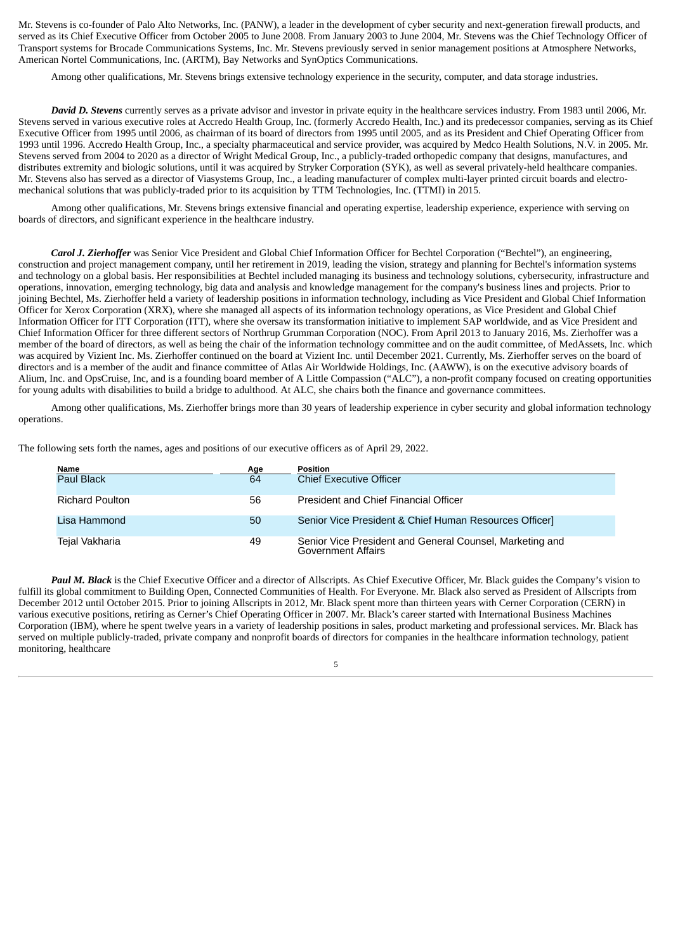Mr. Stevens is co-founder of Palo Alto Networks, Inc. (PANW), a leader in the development of cyber security and next-generation firewall products, and served as its Chief Executive Officer from October 2005 to June 2008. From January 2003 to June 2004, Mr. Stevens was the Chief Technology Officer of Transport systems for Brocade Communications Systems, Inc. Mr. Stevens previously served in senior management positions at Atmosphere Networks, American Nortel Communications, Inc. (ARTM), Bay Networks and SynOptics Communications.

Among other qualifications, Mr. Stevens brings extensive technology experience in the security, computer, and data storage industries.

*David D. Stevens* currently serves as a private advisor and investor in private equity in the healthcare services industry. From 1983 until 2006, Mr. Stevens served in various executive roles at Accredo Health Group, Inc. (formerly Accredo Health, Inc.) and its predecessor companies, serving as its Chief Executive Officer from 1995 until 2006, as chairman of its board of directors from 1995 until 2005, and as its President and Chief Operating Officer from 1993 until 1996. Accredo Health Group, Inc., a specialty pharmaceutical and service provider, was acquired by Medco Health Solutions, N.V. in 2005. Mr. Stevens served from 2004 to 2020 as a director of Wright Medical Group, Inc., a publicly-traded orthopedic company that designs, manufactures, and distributes extremity and biologic solutions, until it was acquired by Stryker Corporation (SYK), as well as several privately-held healthcare companies. Mr. Stevens also has served as a director of Viasystems Group, Inc., a leading manufacturer of complex multi-layer printed circuit boards and electromechanical solutions that was publicly-traded prior to its acquisition by TTM Technologies, Inc. (TTMI) in 2015.

Among other qualifications, Mr. Stevens brings extensive financial and operating expertise, leadership experience, experience with serving on boards of directors, and significant experience in the healthcare industry.

*Carol J. Zierhoffer* was Senior Vice President and Global Chief Information Officer for Bechtel Corporation ("Bechtel"), an engineering, construction and project management company, until her retirement in 2019, leading the vision, strategy and planning for Bechtel's information systems and technology on a global basis. Her responsibilities at Bechtel included managing its business and technology solutions, cybersecurity, infrastructure and operations, innovation, emerging technology, big data and analysis and knowledge management for the company's business lines and projects. Prior to joining Bechtel, Ms. Zierhoffer held a variety of leadership positions in information technology, including as Vice President and Global Chief Information Officer for Xerox Corporation (XRX), where she managed all aspects of its information technology operations, as Vice President and Global Chief Information Officer for ITT Corporation (ITT), where she oversaw its transformation initiative to implement SAP worldwide, and as Vice President and Chief Information Officer for three different sectors of Northrup Grumman Corporation (NOC). From April 2013 to January 2016, Ms. Zierhoffer was a member of the board of directors, as well as being the chair of the information technology committee and on the audit committee, of MedAssets, Inc. which was acquired by Vizient Inc. Ms. Zierhoffer continued on the board at Vizient Inc. until December 2021. Currently, Ms. Zierhoffer serves on the board of directors and is a member of the audit and finance committee of Atlas Air Worldwide Holdings, Inc. (AAWW), is on the executive advisory boards of Alium, Inc. and OpsCruise, Inc, and is a founding board member of A Little Compassion ("ALC"), a non-profit company focused on creating opportunities for young adults with disabilities to build a bridge to adulthood. At ALC, she chairs both the finance and governance committees.

Among other qualifications, Ms. Zierhoffer brings more than 30 years of leadership experience in cyber security and global information technology operations.

The following sets forth the names, ages and positions of our executive officers as of April 29, 2022.

| <b>Name</b>            | Age | <b>Position</b>                                                                       |
|------------------------|-----|---------------------------------------------------------------------------------------|
| <b>Paul Black</b>      | 64  | <b>Chief Executive Officer</b>                                                        |
| <b>Richard Poulton</b> | 56  | President and Chief Financial Officer                                                 |
| Lisa Hammond           | 50  | Senior Vice President & Chief Human Resources Officer]                                |
| Tejal Vakharia         | 49  | Senior Vice President and General Counsel, Marketing and<br><b>Government Affairs</b> |

*Paul M. Black* is the Chief Executive Officer and a director of Allscripts. As Chief Executive Officer, Mr. Black guides the Company's vision to fulfill its global commitment to Building Open, Connected Communities of Health. For Everyone. Mr. Black also served as President of Allscripts from December 2012 until October 2015. Prior to joining Allscripts in 2012, Mr. Black spent more than thirteen years with Cerner Corporation (CERN) in various executive positions, retiring as Cerner's Chief Operating Officer in 2007. Mr. Black's career started with International Business Machines Corporation (IBM), where he spent twelve years in a variety of leadership positions in sales, product marketing and professional services. Mr. Black has served on multiple publicly-traded, private company and nonprofit boards of directors for companies in the healthcare information technology, patient monitoring, healthcare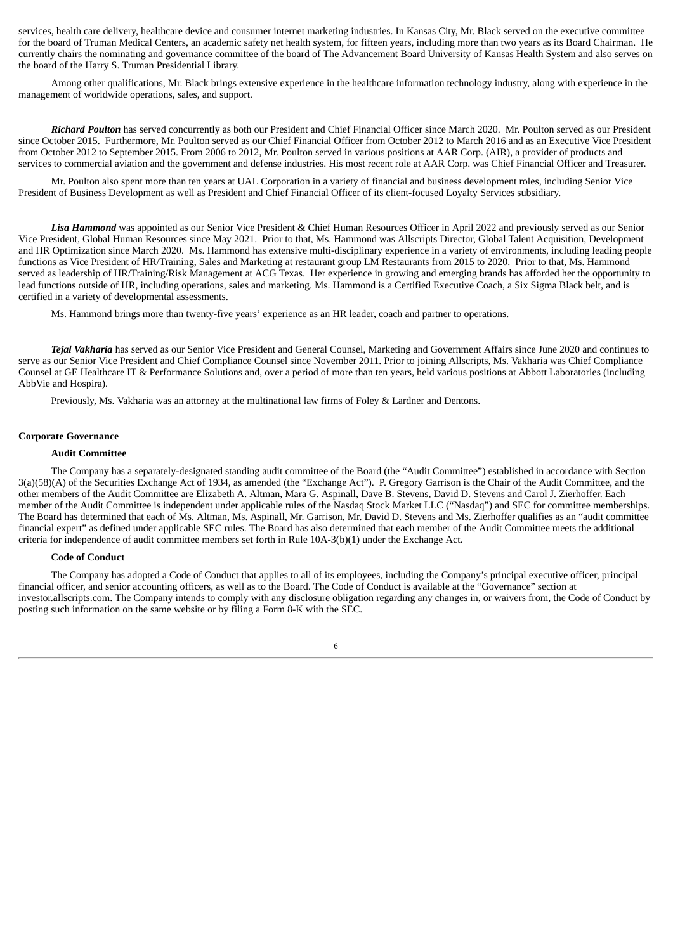services, health care delivery, healthcare device and consumer internet marketing industries. In Kansas City, Mr. Black served on the executive committee for the board of Truman Medical Centers, an academic safety net health system, for fifteen years, including more than two years as its Board Chairman. He currently chairs the nominating and governance committee of the board of The Advancement Board University of Kansas Health System and also serves on the board of the Harry S. Truman Presidential Library.

Among other qualifications, Mr. Black brings extensive experience in the healthcare information technology industry, along with experience in the management of worldwide operations, sales, and support.

*Richard Poulton* has served concurrently as both our President and Chief Financial Officer since March 2020. Mr. Poulton served as our President since October 2015. Furthermore, Mr. Poulton served as our Chief Financial Officer from October 2012 to March 2016 and as an Executive Vice President from October 2012 to September 2015. From 2006 to 2012, Mr. Poulton served in various positions at AAR Corp. (AIR), a provider of products and services to commercial aviation and the government and defense industries. His most recent role at AAR Corp. was Chief Financial Officer and Treasurer.

Mr. Poulton also spent more than ten years at UAL Corporation in a variety of financial and business development roles, including Senior Vice President of Business Development as well as President and Chief Financial Officer of its client-focused Loyalty Services subsidiary.

*Lisa Hammond* was appointed as our Senior Vice President & Chief Human Resources Officer in April 2022 and previously served as our Senior Vice President, Global Human Resources since May 2021. Prior to that, Ms. Hammond was Allscripts Director, Global Talent Acquisition, Development and HR Optimization since March 2020. Ms. Hammond has extensive multi-disciplinary experience in a variety of environments, including leading people functions as Vice President of HR/Training, Sales and Marketing at restaurant group LM Restaurants from 2015 to 2020. Prior to that, Ms. Hammond served as leadership of HR/Training/Risk Management at ACG Texas. Her experience in growing and emerging brands has afforded her the opportunity to lead functions outside of HR, including operations, sales and marketing. Ms. Hammond is a Certified Executive Coach, a Six Sigma Black belt, and is certified in a variety of developmental assessments.

Ms. Hammond brings more than twenty-five years' experience as an HR leader, coach and partner to operations.

*Tejal Vakharia* has served as our Senior Vice President and General Counsel, Marketing and Government Affairs since June 2020 and continues to serve as our Senior Vice President and Chief Compliance Counsel since November 2011. Prior to joining Allscripts, Ms. Vakharia was Chief Compliance Counsel at GE Healthcare IT & Performance Solutions and, over a period of more than ten years, held various positions at Abbott Laboratories (including AbbVie and Hospira).

Previously, Ms. Vakharia was an attorney at the multinational law firms of Foley & Lardner and Dentons.

#### **Corporate Governance**

#### **Audit Committee**

The Company has a separately-designated standing audit committee of the Board (the "Audit Committee") established in accordance with Section 3(a)(58)(A) of the Securities Exchange Act of 1934, as amended (the "Exchange Act"). P. Gregory Garrison is the Chair of the Audit Committee, and the other members of the Audit Committee are Elizabeth A. Altman, Mara G. Aspinall, Dave B. Stevens, David D. Stevens and Carol J. Zierhoffer. Each member of the Audit Committee is independent under applicable rules of the Nasdaq Stock Market LLC ("Nasdaq") and SEC for committee memberships. The Board has determined that each of Ms. Altman, Ms. Aspinall, Mr. Garrison, Mr. David D. Stevens and Ms. Zierhoffer qualifies as an "audit committee financial expert" as defined under applicable SEC rules. The Board has also determined that each member of the Audit Committee meets the additional criteria for independence of audit committee members set forth in Rule 10A-3(b)(1) under the Exchange Act.

#### **Code of Conduct**

The Company has adopted a Code of Conduct that applies to all of its employees, including the Company's principal executive officer, principal financial officer, and senior accounting officers, as well as to the Board. The Code of Conduct is available at the "Governance" section at investor.allscripts.com. The Company intends to comply with any disclosure obligation regarding any changes in, or waivers from, the Code of Conduct by posting such information on the same website or by filing a Form 8-K with the SEC.

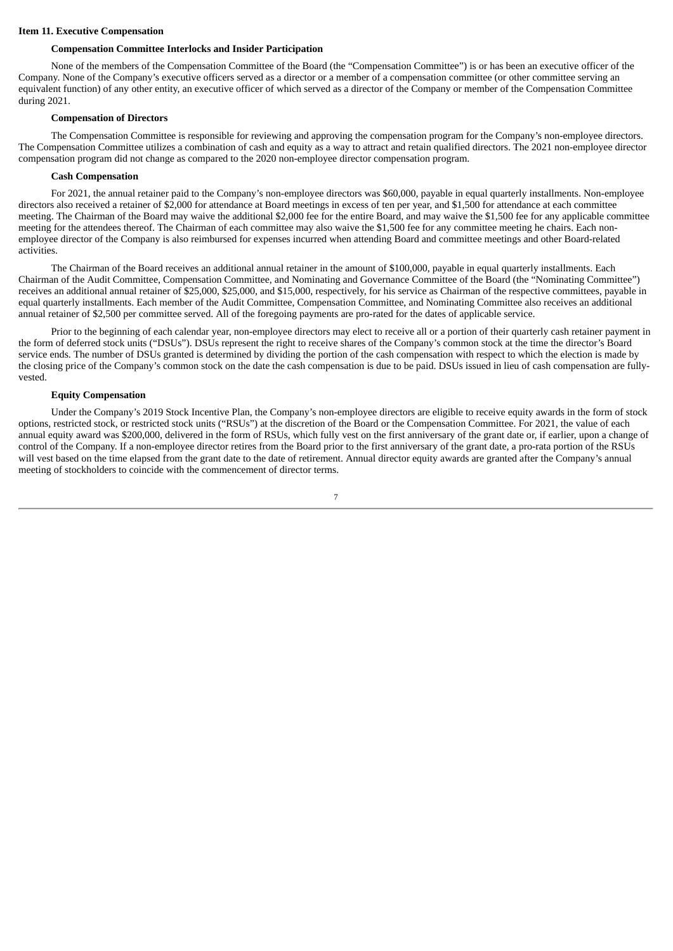#### **Item 11. Executive Compensation**

#### **Compensation Committee Interlocks and Insider Participation**

None of the members of the Compensation Committee of the Board (the "Compensation Committee") is or has been an executive officer of the Company. None of the Company's executive officers served as a director or a member of a compensation committee (or other committee serving an equivalent function) of any other entity, an executive officer of which served as a director of the Company or member of the Compensation Committee during 2021.

#### **Compensation of Directors**

The Compensation Committee is responsible for reviewing and approving the compensation program for the Company's non-employee directors. The Compensation Committee utilizes a combination of cash and equity as a way to attract and retain qualified directors. The 2021 non-employee director compensation program did not change as compared to the 2020 non-employee director compensation program.

#### **Cash Compensation**

For 2021, the annual retainer paid to the Company's non-employee directors was \$60,000, payable in equal quarterly installments. Non-employee directors also received a retainer of \$2,000 for attendance at Board meetings in excess of ten per year, and \$1,500 for attendance at each committee meeting. The Chairman of the Board may waive the additional \$2,000 fee for the entire Board, and may waive the \$1,500 fee for any applicable committee meeting for the attendees thereof. The Chairman of each committee may also waive the \$1,500 fee for any committee meeting he chairs. Each nonemployee director of the Company is also reimbursed for expenses incurred when attending Board and committee meetings and other Board-related activities.

The Chairman of the Board receives an additional annual retainer in the amount of \$100,000, payable in equal quarterly installments. Each Chairman of the Audit Committee, Compensation Committee, and Nominating and Governance Committee of the Board (the "Nominating Committee") receives an additional annual retainer of \$25,000, \$25,000, and \$15,000, respectively, for his service as Chairman of the respective committees, payable in equal quarterly installments. Each member of the Audit Committee, Compensation Committee, and Nominating Committee also receives an additional annual retainer of \$2,500 per committee served. All of the foregoing payments are pro-rated for the dates of applicable service.

Prior to the beginning of each calendar year, non-employee directors may elect to receive all or a portion of their quarterly cash retainer payment in the form of deferred stock units ("DSUs"). DSUs represent the right to receive shares of the Company's common stock at the time the director's Board service ends. The number of DSUs granted is determined by dividing the portion of the cash compensation with respect to which the election is made by the closing price of the Company's common stock on the date the cash compensation is due to be paid. DSUs issued in lieu of cash compensation are fullyvested.

#### **Equity Compensation**

Under the Company's 2019 Stock Incentive Plan, the Company's non-employee directors are eligible to receive equity awards in the form of stock options, restricted stock, or restricted stock units ("RSUs") at the discretion of the Board or the Compensation Committee. For 2021, the value of each annual equity award was \$200,000, delivered in the form of RSUs, which fully vest on the first anniversary of the grant date or, if earlier, upon a change of control of the Company. If a non-employee director retires from the Board prior to the first anniversary of the grant date, a pro-rata portion of the RSUs will vest based on the time elapsed from the grant date to the date of retirement. Annual director equity awards are granted after the Company's annual meeting of stockholders to coincide with the commencement of director terms.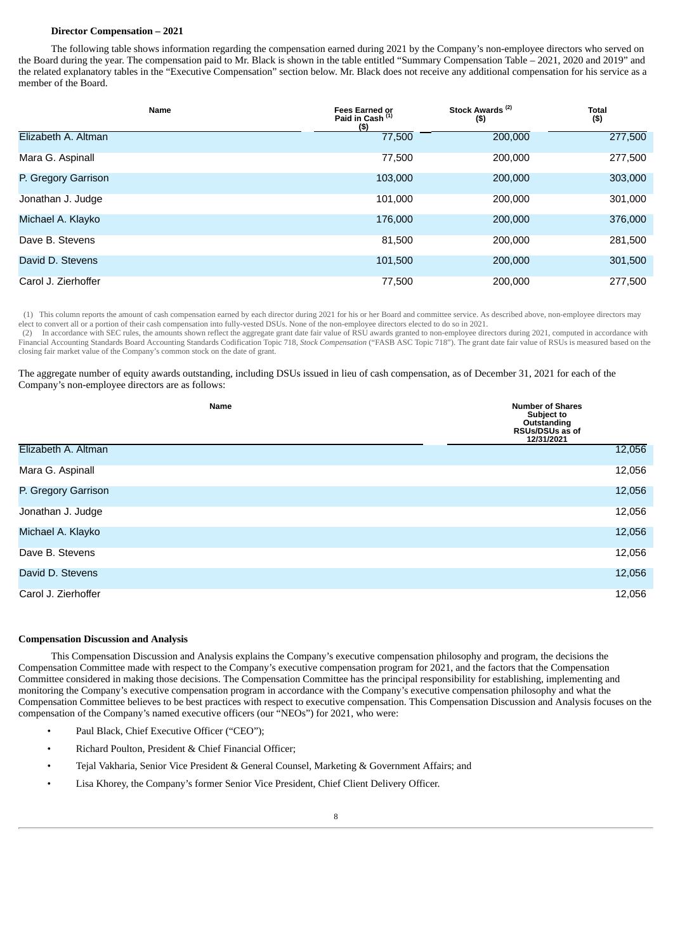#### **Director Compensation – 2021**

The following table shows information regarding the compensation earned during 2021 by the Company's non-employee directors who served on the Board during the year. The compensation paid to Mr. Black is shown in the table entitled "Summary Compensation Table – 2021, 2020 and 2019" and the related explanatory tables in the "Executive Compensation" section below. Mr. Black does not receive any additional compensation for his service as a member of the Board.

| Name                | Stock Awards <sup>(2)</sup><br><b>Fees Earned or</b><br>Paid in Cash <sup>(1)</sup><br>$($ \$)<br>(5) |         | <b>Total</b><br>$($ \$) |  |
|---------------------|-------------------------------------------------------------------------------------------------------|---------|-------------------------|--|
| Elizabeth A. Altman | 77,500                                                                                                | 200,000 | 277,500                 |  |
| Mara G. Aspinall    | 77,500                                                                                                | 200,000 | 277,500                 |  |
| P. Gregory Garrison | 103,000                                                                                               | 200,000 | 303,000                 |  |
| Jonathan J. Judge   | 101,000                                                                                               | 200,000 | 301,000                 |  |
| Michael A. Klayko   | 176,000                                                                                               | 200,000 | 376,000                 |  |
| Dave B. Stevens     | 81,500                                                                                                | 200,000 | 281,500                 |  |
| David D. Stevens    | 101,500                                                                                               | 200,000 | 301,500                 |  |
| Carol J. Zierhoffer | 77,500                                                                                                | 200,000 | 277,500                 |  |

(1) This column reports the amount of cash compensation earned by each director during 2021 for his or her Board and committee service. As described above, non-employee directors may elect to convert all or a portion of their cash compensation into fully-vested DSUs. None of the non-employee directors elected to do so in 2021.

(2) In accordance with SEC rules, the amounts shown reflect the aggregate grant date fair value of RSU awards granted to non-employee directors during 2021, computed in accordance with Financial Accounting Standards Board Accounting Standards Codification Topic 718, *Stock Compensation* ("FASB ASC Topic 718"). The grant date fair value of RSUs is measured based on the closing fair market value of the Company's common stock on the date of grant.

#### The aggregate number of equity awards outstanding, including DSUs issued in lieu of cash compensation, as of December 31, 2021 for each of the Company's non-employee directors are as follows:

|                     | Name | <b>Number of Shares</b><br>Subject to<br>Outstanding<br>RSUs/DSUs as of<br>12/31/2021 |
|---------------------|------|---------------------------------------------------------------------------------------|
| Elizabeth A. Altman |      | 12,056                                                                                |
| Mara G. Aspinall    |      | 12,056                                                                                |
| P. Gregory Garrison |      | 12,056                                                                                |
| Jonathan J. Judge   |      | 12,056                                                                                |
| Michael A. Klayko   |      | 12,056                                                                                |
| Dave B. Stevens     |      | 12,056                                                                                |
| David D. Stevens    |      | 12,056                                                                                |
| Carol J. Zierhoffer |      | 12,056                                                                                |

#### **Compensation Discussion and Analysis**

This Compensation Discussion and Analysis explains the Company's executive compensation philosophy and program, the decisions the Compensation Committee made with respect to the Company's executive compensation program for 2021, and the factors that the Compensation Committee considered in making those decisions. The Compensation Committee has the principal responsibility for establishing, implementing and monitoring the Company's executive compensation program in accordance with the Company's executive compensation philosophy and what the Compensation Committee believes to be best practices with respect to executive compensation. This Compensation Discussion and Analysis focuses on the compensation of the Company's named executive officers (our "NEOs") for 2021, who were:

- Paul Black, Chief Executive Officer ("CEO");
- Richard Poulton, President & Chief Financial Officer;
- Tejal Vakharia, Senior Vice President & General Counsel, Marketing & Government Affairs; and
- Lisa Khorey, the Company's former Senior Vice President, Chief Client Delivery Officer.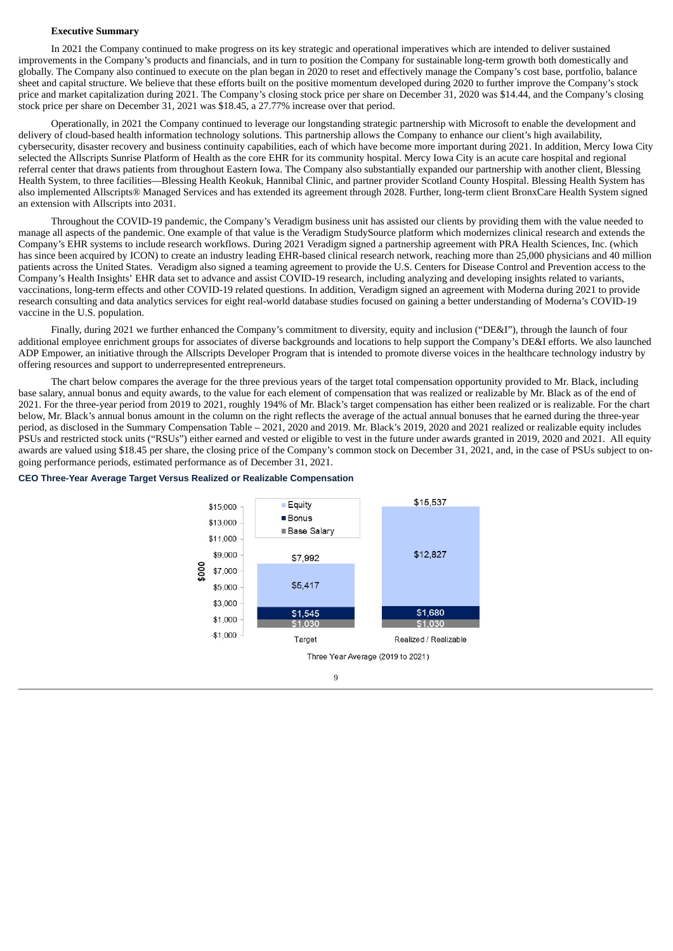#### **Executive Summary**

In 2021 the Company continued to make progress on its key strategic and operational imperatives which are intended to deliver sustained improvements in the Company's products and financials, and in turn to position the Company for sustainable long-term growth both domestically and globally. The Company also continued to execute on the plan began in 2020 to reset and effectively manage the Company's cost base, portfolio, balance sheet and capital structure. We believe that these efforts built on the positive momentum developed during 2020 to further improve the Company's stock price and market capitalization during 2021. The Company's closing stock price per share on December 31, 2020 was \$14.44, and the Company's closing stock price per share on December 31, 2021 was \$18.45, a 27.77% increase over that period.

Operationally, in 2021 the Company continued to leverage our longstanding strategic partnership with Microsoft to enable the development and delivery of cloud-based health information technology solutions. This partnership allows the Company to enhance our client's high availability, cybersecurity, disaster recovery and business continuity capabilities, each of which have become more important during 2021. In addition, Mercy Iowa City selected the Allscripts Sunrise Platform of Health as the core EHR for its community hospital. Mercy Iowa City is an acute care hospital and regional referral center that draws patients from throughout Eastern Iowa. The Company also substantially expanded our partnership with another client, Blessing Health System, to three facilities—Blessing Health Keokuk, Hannibal Clinic, and partner provider Scotland County Hospital. Blessing Health System has also implemented Allscripts® Managed Services and has extended its agreement through 2028. Further, long-term client BronxCare Health System signed an extension with Allscripts into 2031.

Throughout the COVID-19 pandemic, the Company's Veradigm business unit has assisted our clients by providing them with the value needed to manage all aspects of the pandemic. One example of that value is the Veradigm StudySource platform which modernizes clinical research and extends the Company's EHR systems to include research workflows. During 2021 Veradigm signed a partnership agreement with PRA Health Sciences, Inc. (which has since been acquired by ICON) to create an industry leading EHR-based clinical research network, reaching more than 25,000 physicians and 40 million patients across the United States. Veradigm also signed a teaming agreement to provide the U.S. Centers for Disease Control and Prevention access to the Company's Health Insights' EHR data set to advance and assist COVID-19 research, including analyzing and developing insights related to variants, vaccinations, long-term effects and other COVID-19 related questions. In addition, Veradigm signed an agreement with Moderna during 2021 to provide research consulting and data analytics services for eight real-world database studies focused on gaining a better understanding of Moderna's COVID-19 vaccine in the U.S. population.

Finally, during 2021 we further enhanced the Company's commitment to diversity, equity and inclusion ("DE&I"), through the launch of four additional employee enrichment groups for associates of diverse backgrounds and locations to help support the Company's DE&I efforts. We also launched ADP Empower, an initiative through the Allscripts Developer Program that is intended to promote diverse voices in the healthcare technology industry by offering resources and support to underrepresented entrepreneurs.

The chart below compares the average for the three previous years of the target total compensation opportunity provided to Mr. Black, including base salary, annual bonus and equity awards, to the value for each element of compensation that was realized or realizable by Mr. Black as of the end of 2021. For the three-year period from 2019 to 2021, roughly 194% of Mr. Black's target compensation has either been realized or is realizable. For the chart below, Mr. Black's annual bonus amount in the column on the right reflects the average of the actual annual bonuses that he earned during the three-year period, as disclosed in the Summary Compensation Table – 2021, 2020 and 2019. Mr. Black's 2019, 2020 and 2021 realized or realizable equity includes PSUs and restricted stock units ("RSUs") either earned and vested or eligible to vest in the future under awards granted in 2019, 2020 and 2021. All equity awards are valued using \$18.45 per share, the closing price of the Company's common stock on December 31, 2021, and, in the case of PSUs subject to ongoing performance periods, estimated performance as of December 31, 2021.

#### **CEO Three-Year Average Target Versus Realized or Realizable Compensation**



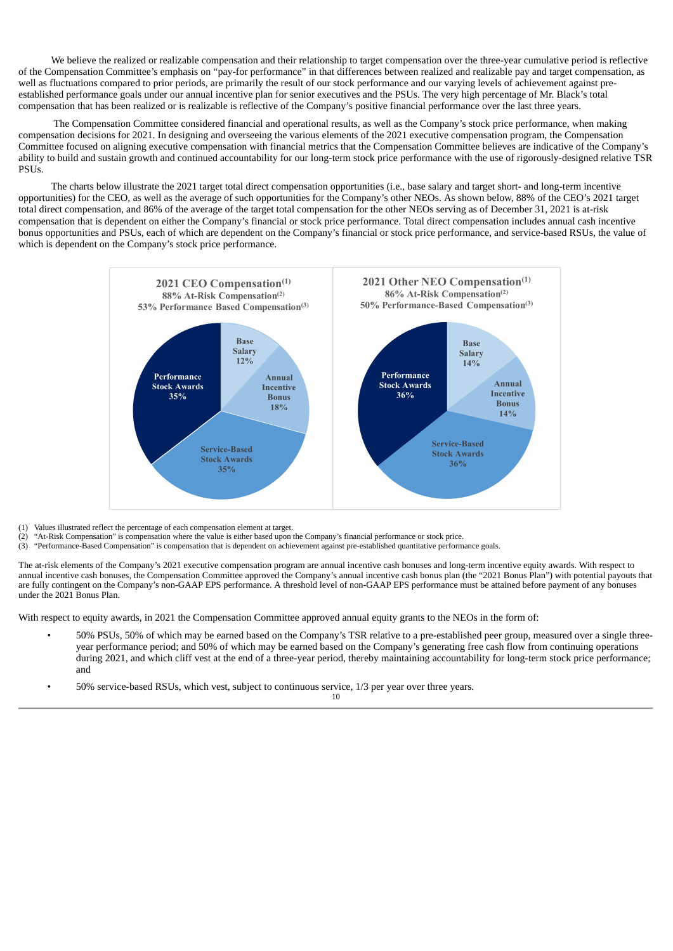We believe the realized or realizable compensation and their relationship to target compensation over the three-year cumulative period is reflective of the Compensation Committee's emphasis on "pay-for performance" in that differences between realized and realizable pay and target compensation, as well as fluctuations compared to prior periods, are primarily the result of our stock performance and our varying levels of achievement against preestablished performance goals under our annual incentive plan for senior executives and the PSUs. The very high percentage of Mr. Black's total compensation that has been realized or is realizable is reflective of the Company's positive financial performance over the last three years.

The Compensation Committee considered financial and operational results, as well as the Company's stock price performance, when making compensation decisions for 2021. In designing and overseeing the various elements of the 2021 executive compensation program, the Compensation Committee focused on aligning executive compensation with financial metrics that the Compensation Committee believes are indicative of the Company's ability to build and sustain growth and continued accountability for our long-term stock price performance with the use of rigorously-designed relative TSR PSUs.

The charts below illustrate the 2021 target total direct compensation opportunities (i.e., base salary and target short- and long-term incentive opportunities) for the CEO, as well as the average of such opportunities for the Company's other NEOs. As shown below, 88% of the CEO's 2021 target total direct compensation, and 86% of the average of the target total compensation for the other NEOs serving as of December 31, 2021 is at-risk compensation that is dependent on either the Company's financial or stock price performance. Total direct compensation includes annual cash incentive bonus opportunities and PSUs, each of which are dependent on the Company's financial or stock price performance, and service-based RSUs, the value of which is dependent on the Company's stock price performance.



- (1) Values illustrated reflect the percentage of each compensation element at target.
- $(2)$  "At-Risk Compensation" is compensation where the value is either based upon the Company's financial performance or stock price.
- (3) "Performance-Based Compensation" is compensation that is dependent on achievement against pre-established quantitative performance goals.

The at-risk elements of the Company's 2021 executive compensation program are annual incentive cash bonuses and long-term incentive equity awards. With respect to annual incentive cash bonuses, the Compensation Committee approved the Company's annual incentive cash bonus plan (the "2021 Bonus Plan") with potential payouts that are fully contingent on the Company's non-GAAP EPS performance. A threshold level of non-GAAP EPS performance must be attained before payment of any bonuses under the 2021 Bonus Plan.

With respect to equity awards, in 2021 the Compensation Committee approved annual equity grants to the NEOs in the form of:

• 50% PSUs, 50% of which may be earned based on the Company's TSR relative to a pre-established peer group, measured over a single threeyear performance period; and 50% of which may be earned based on the Company's generating free cash flow from continuing operations during 2021, and which cliff vest at the end of a three-year period, thereby maintaining accountability for long-term stock price performance; and

• 50% service-based RSUs, which vest, subject to continuous service, 1/3 per year over three years.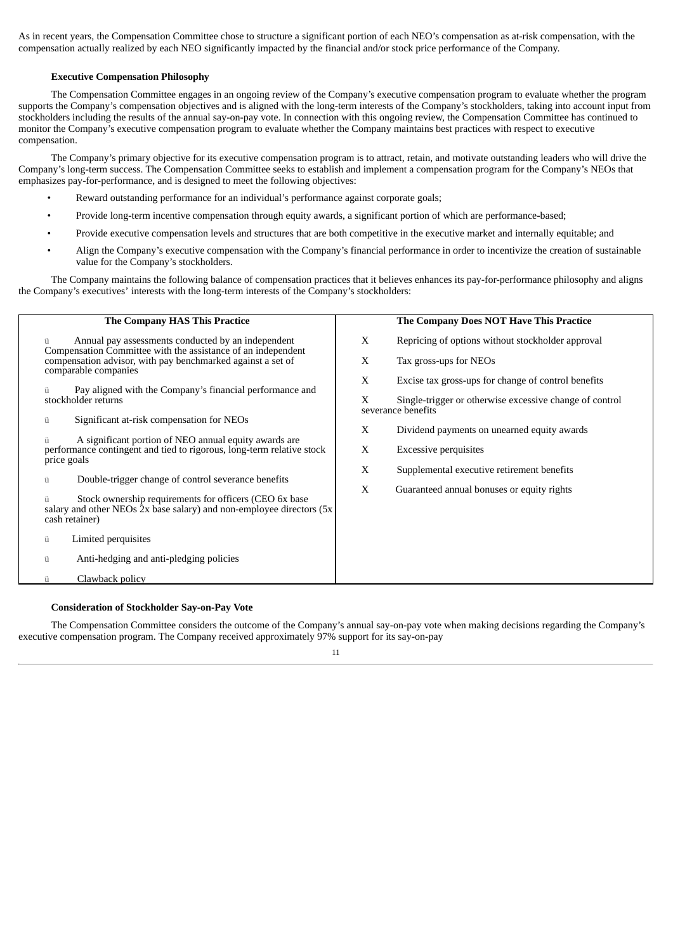As in recent years, the Compensation Committee chose to structure a significant portion of each NEO's compensation as at-risk compensation, with the compensation actually realized by each NEO significantly impacted by the financial and/or stock price performance of the Company.

#### **Executive Compensation Philosophy**

The Compensation Committee engages in an ongoing review of the Company's executive compensation program to evaluate whether the program supports the Company's compensation objectives and is aligned with the long-term interests of the Company's stockholders, taking into account input from stockholders including the results of the annual say-on-pay vote. In connection with this ongoing review, the Compensation Committee has continued to monitor the Company's executive compensation program to evaluate whether the Company maintains best practices with respect to executive compensation.

The Company's primary objective for its executive compensation program is to attract, retain, and motivate outstanding leaders who will drive the Company's long-term success. The Compensation Committee seeks to establish and implement a compensation program for the Company's NEOs that emphasizes pay-for-performance, and is designed to meet the following objectives:

- Reward outstanding performance for an individual's performance against corporate goals;
- Provide long-term incentive compensation through equity awards, a significant portion of which are performance-based;
- Provide executive compensation levels and structures that are both competitive in the executive market and internally equitable; and
- Align the Company's executive compensation with the Company's financial performance in order to incentivize the creation of sustainable value for the Company's stockholders.

The Company maintains the following balance of compensation practices that it believes enhances its pay-for-performance philosophy and aligns the Company's executives' interests with the long-term interests of the Company's stockholders:

| The Company HAS This Practice                                                                                                                      | The Company Does NOT Have This Practice                                            |
|----------------------------------------------------------------------------------------------------------------------------------------------------|------------------------------------------------------------------------------------|
| Annual pay assessments conducted by an independent<br>Compensation Committee with the assistance of an independent                                 | X<br>Repricing of options without stockholder approval                             |
| compensation advisor, with pay benchmarked against a set of<br>comparable companies                                                                | X<br>Tax gross-ups for NEOs                                                        |
| Pay aligned with the Company's financial performance and                                                                                           | X<br>Excise tax gross-ups for change of control benefits                           |
| stockholder returns                                                                                                                                | X<br>Single-trigger or otherwise excessive change of control<br>severance benefits |
| Significant at-risk compensation for NEOs<br>ü                                                                                                     | X<br>Dividend payments on unearned equity awards                                   |
| A significant portion of NEO annual equity awards are<br>performance contingent and tied to rigorous, long-term relative stock                     | X<br><b>Excessive perquisites</b>                                                  |
| price goals                                                                                                                                        | X<br>Supplemental executive retirement benefits                                    |
| Double-trigger change of control severance benefits<br>ü                                                                                           | X<br>Guaranteed annual bonuses or equity rights                                    |
| Stock ownership requirements for officers (CEO 6x base<br>salary and other NEOs $2x$ base salary) and non-employee directors (5x<br>cash retainer) |                                                                                    |
| Limited perquisites<br>ü                                                                                                                           |                                                                                    |
| Anti-hedging and anti-pledging policies<br>ü                                                                                                       |                                                                                    |
| Clawback policy<br>ü                                                                                                                               |                                                                                    |
|                                                                                                                                                    |                                                                                    |

#### **Consideration of Stockholder Say-on-Pay Vote**

The Compensation Committee considers the outcome of the Company's annual say-on-pay vote when making decisions regarding the Company's executive compensation program. The Company received approximately 97% support for its say-on-pay

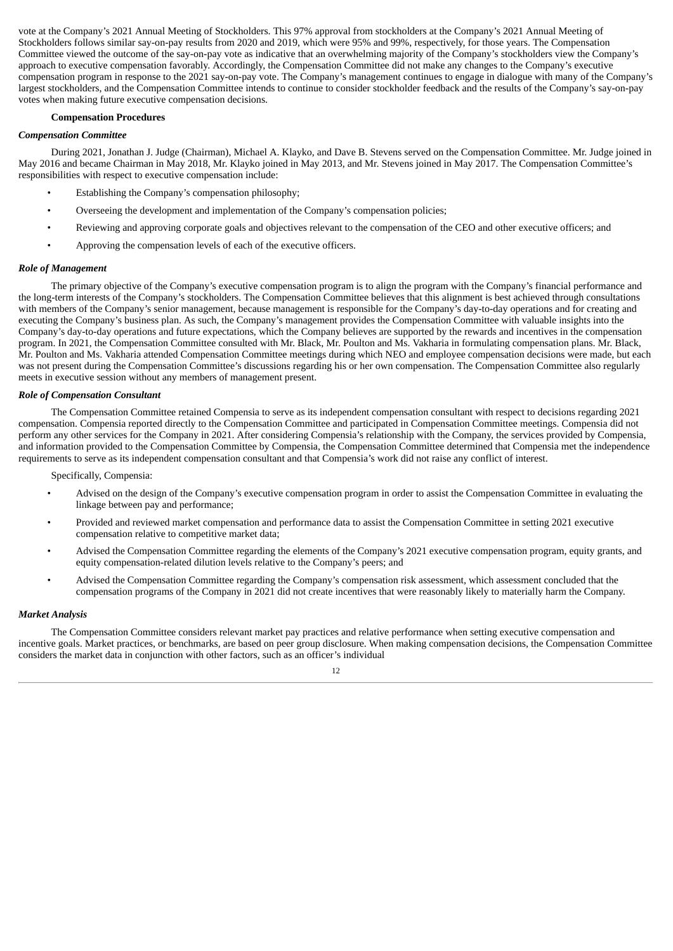vote at the Company's 2021 Annual Meeting of Stockholders. This 97% approval from stockholders at the Company's 2021 Annual Meeting of Stockholders follows similar say-on-pay results from 2020 and 2019, which were 95% and 99%, respectively, for those years. The Compensation Committee viewed the outcome of the say-on-pay vote as indicative that an overwhelming majority of the Company's stockholders view the Company's approach to executive compensation favorably. Accordingly, the Compensation Committee did not make any changes to the Company's executive compensation program in response to the 2021 say-on-pay vote. The Company's management continues to engage in dialogue with many of the Company's largest stockholders, and the Compensation Committee intends to continue to consider stockholder feedback and the results of the Company's say-on-pay votes when making future executive compensation decisions.

#### **Compensation Procedures**

#### *Compensation Committee*

During 2021, Jonathan J. Judge (Chairman), Michael A. Klayko, and Dave B. Stevens served on the Compensation Committee. Mr. Judge joined in May 2016 and became Chairman in May 2018, Mr. Klayko joined in May 2013, and Mr. Stevens joined in May 2017. The Compensation Committee's responsibilities with respect to executive compensation include:

- Establishing the Company's compensation philosophy;
- Overseeing the development and implementation of the Company's compensation policies;
- Reviewing and approving corporate goals and objectives relevant to the compensation of the CEO and other executive officers; and
- Approving the compensation levels of each of the executive officers.

#### *Role of Management*

The primary objective of the Company's executive compensation program is to align the program with the Company's financial performance and the long-term interests of the Company's stockholders. The Compensation Committee believes that this alignment is best achieved through consultations with members of the Company's senior management, because management is responsible for the Company's day-to-day operations and for creating and executing the Company's business plan. As such, the Company's management provides the Compensation Committee with valuable insights into the Company's day-to-day operations and future expectations, which the Company believes are supported by the rewards and incentives in the compensation program. In 2021, the Compensation Committee consulted with Mr. Black, Mr. Poulton and Ms. Vakharia in formulating compensation plans. Mr. Black, Mr. Poulton and Ms. Vakharia attended Compensation Committee meetings during which NEO and employee compensation decisions were made, but each was not present during the Compensation Committee's discussions regarding his or her own compensation. The Compensation Committee also regularly meets in executive session without any members of management present.

#### *Role of Compensation Consultant*

The Compensation Committee retained Compensia to serve as its independent compensation consultant with respect to decisions regarding 2021 compensation. Compensia reported directly to the Compensation Committee and participated in Compensation Committee meetings. Compensia did not perform any other services for the Company in 2021. After considering Compensia's relationship with the Company, the services provided by Compensia, and information provided to the Compensation Committee by Compensia, the Compensation Committee determined that Compensia met the independence requirements to serve as its independent compensation consultant and that Compensia's work did not raise any conflict of interest.

Specifically, Compensia:

- Advised on the design of the Company's executive compensation program in order to assist the Compensation Committee in evaluating the linkage between pay and performance;
- Provided and reviewed market compensation and performance data to assist the Compensation Committee in setting 2021 executive compensation relative to competitive market data;
- Advised the Compensation Committee regarding the elements of the Company's 2021 executive compensation program, equity grants, and equity compensation-related dilution levels relative to the Company's peers; and
- Advised the Compensation Committee regarding the Company's compensation risk assessment, which assessment concluded that the compensation programs of the Company in 2021 did not create incentives that were reasonably likely to materially harm the Company.

#### *Market Analysis*

The Compensation Committee considers relevant market pay practices and relative performance when setting executive compensation and incentive goals. Market practices, or benchmarks, are based on peer group disclosure. When making compensation decisions, the Compensation Committee considers the market data in conjunction with other factors, such as an officer's individual

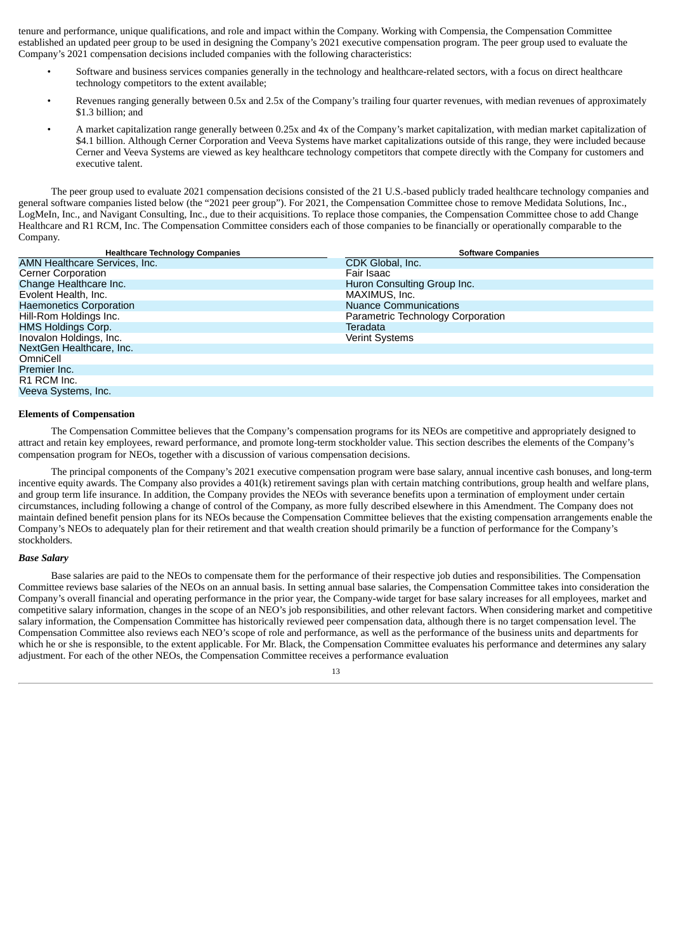tenure and performance, unique qualifications, and role and impact within the Company. Working with Compensia, the Compensation Committee established an updated peer group to be used in designing the Company's 2021 executive compensation program. The peer group used to evaluate the Company's 2021 compensation decisions included companies with the following characteristics:

- Software and business services companies generally in the technology and healthcare-related sectors, with a focus on direct healthcare technology competitors to the extent available;
- Revenues ranging generally between 0.5x and 2.5x of the Company's trailing four quarter revenues, with median revenues of approximately \$1.3 billion: and
- A market capitalization range generally between 0.25x and 4x of the Company's market capitalization, with median market capitalization of \$4.1 billion. Although Cerner Corporation and Veeva Systems have market capitalizations outside of this range, they were included because Cerner and Veeva Systems are viewed as key healthcare technology competitors that compete directly with the Company for customers and executive talent.

The peer group used to evaluate 2021 compensation decisions consisted of the 21 U.S.-based publicly traded healthcare technology companies and general software companies listed below (the "2021 peer group"). For 2021, the Compensation Committee chose to remove Medidata Solutions, Inc., LogMeIn, Inc., and Navigant Consulting, Inc., due to their acquisitions. To replace those companies, the Compensation Committee chose to add Change Healthcare and R1 RCM, Inc. The Compensation Committee considers each of those companies to be financially or operationally comparable to the Company.

| <b>Healthcare Technology Companies</b> | <b>Software Companies</b>         |
|----------------------------------------|-----------------------------------|
| AMN Healthcare Services, Inc.          | CDK Global, Inc.                  |
| <b>Cerner Corporation</b>              | Fair Isaac                        |
| Change Healthcare Inc.                 | Huron Consulting Group Inc.       |
| Evolent Health, Inc.                   | MAXIMUS, Inc.                     |
| <b>Haemonetics Corporation</b>         | <b>Nuance Communications</b>      |
| Hill-Rom Holdings Inc.                 | Parametric Technology Corporation |
| <b>HMS Holdings Corp.</b>              | Teradata                          |
| Inovalon Holdings, Inc.                | <b>Verint Systems</b>             |
| NextGen Healthcare, Inc.               |                                   |
| OmniCell                               |                                   |
| Premier Inc.                           |                                   |
| R1 RCM Inc.                            |                                   |
| Veeva Systems, Inc.                    |                                   |

#### **Elements of Compensation**

The Compensation Committee believes that the Company's compensation programs for its NEOs are competitive and appropriately designed to attract and retain key employees, reward performance, and promote long-term stockholder value. This section describes the elements of the Company's compensation program for NEOs, together with a discussion of various compensation decisions.

The principal components of the Company's 2021 executive compensation program were base salary, annual incentive cash bonuses, and long-term incentive equity awards. The Company also provides a 401(k) retirement savings plan with certain matching contributions, group health and welfare plans, and group term life insurance. In addition, the Company provides the NEOs with severance benefits upon a termination of employment under certain circumstances, including following a change of control of the Company, as more fully described elsewhere in this Amendment. The Company does not maintain defined benefit pension plans for its NEOs because the Compensation Committee believes that the existing compensation arrangements enable the Company's NEOs to adequately plan for their retirement and that wealth creation should primarily be a function of performance for the Company's stockholders.

#### *Base Salary*

Base salaries are paid to the NEOs to compensate them for the performance of their respective job duties and responsibilities. The Compensation Committee reviews base salaries of the NEOs on an annual basis. In setting annual base salaries, the Compensation Committee takes into consideration the Company's overall financial and operating performance in the prior year, the Company-wide target for base salary increases for all employees, market and competitive salary information, changes in the scope of an NEO's job responsibilities, and other relevant factors. When considering market and competitive salary information, the Compensation Committee has historically reviewed peer compensation data, although there is no target compensation level. The Compensation Committee also reviews each NEO's scope of role and performance, as well as the performance of the business units and departments for which he or she is responsible, to the extent applicable. For Mr. Black, the Compensation Committee evaluates his performance and determines any salary adjustment. For each of the other NEOs, the Compensation Committee receives a performance evaluation

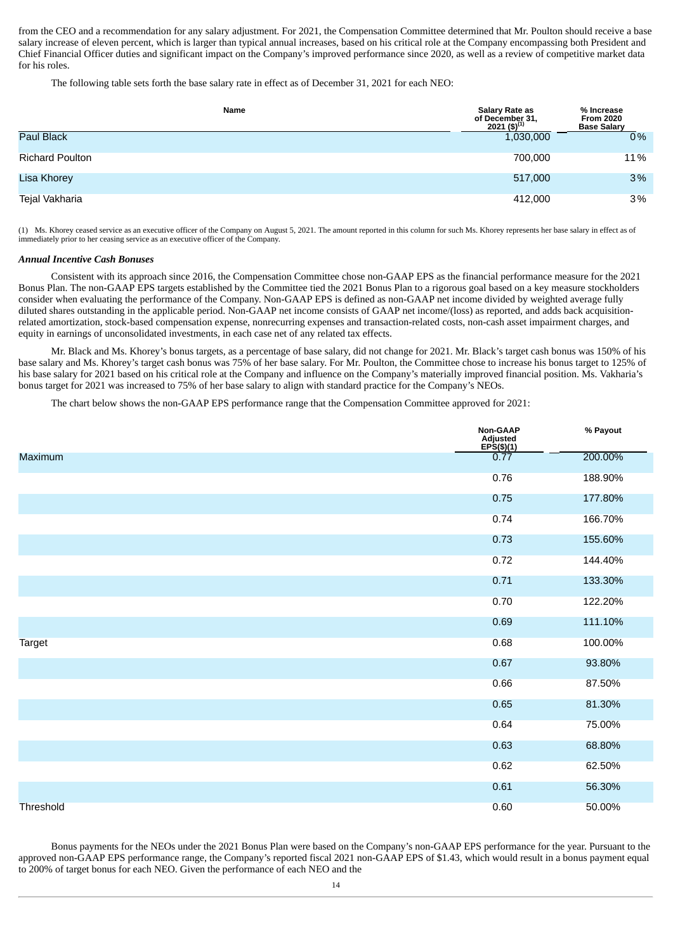from the CEO and a recommendation for any salary adjustment. For 2021, the Compensation Committee determined that Mr. Poulton should receive a base salary increase of eleven percent, which is larger than typical annual increases, based on his critical role at the Company encompassing both President and Chief Financial Officer duties and significant impact on the Company's improved performance since 2020, as well as a review of competitive market data for his roles.

The following table sets forth the base salary rate in effect as of December 31, 2021 for each NEO:

| <b>Name</b>            | Salary Rate as<br>of December 31,<br>2021 (\$) <sup>(1)</sup> | % Increase<br><b>From 2020</b><br><b>Base Salary</b> |
|------------------------|---------------------------------------------------------------|------------------------------------------------------|
| Paul Black             | 1,030,000                                                     | $0\%$                                                |
| <b>Richard Poulton</b> | 700.000                                                       | 11%                                                  |
| Lisa Khorey            | 517,000                                                       | 3%                                                   |
| Tejal Vakharia         | 412,000                                                       | $3\%$                                                |

(1) Ms. Khorey ceased service as an executive officer of the Company on August 5, 2021. The amount reported in this column for such Ms. Khorey represents her base salary in effect as of immediately prior to her ceasing service as an executive officer of the Company.

#### *Annual Incentive Cash Bonuses*

Consistent with its approach since 2016, the Compensation Committee chose non-GAAP EPS as the financial performance measure for the 2021 Bonus Plan. The non-GAAP EPS targets established by the Committee tied the 2021 Bonus Plan to a rigorous goal based on a key measure stockholders consider when evaluating the performance of the Company. Non-GAAP EPS is defined as non-GAAP net income divided by weighted average fully diluted shares outstanding in the applicable period. Non-GAAP net income consists of GAAP net income/(loss) as reported, and adds back acquisitionrelated amortization, stock-based compensation expense, nonrecurring expenses and transaction-related costs, non-cash asset impairment charges, and equity in earnings of unconsolidated investments, in each case net of any related tax effects.

Mr. Black and Ms. Khorey's bonus targets, as a percentage of base salary, did not change for 2021. Mr. Black's target cash bonus was 150% of his base salary and Ms. Khorey's target cash bonus was 75% of her base salary. For Mr. Poulton, the Committee chose to increase his bonus target to 125% of his base salary for 2021 based on his critical role at the Company and influence on the Company's materially improved financial position. Ms. Vakharia's bonus target for 2021 was increased to 75% of her base salary to align with standard practice for the Company's NEOs.

The chart below shows the non-GAAP EPS performance range that the Compensation Committee approved for 2021:

|                  | Non-GAAP<br>Adjusted<br>EPS(\$)(1)<br>0.77 | % Payout |
|------------------|--------------------------------------------|----------|
| <b>Maximum</b>   |                                            | 200.00%  |
|                  | 0.76                                       | 188.90%  |
|                  | 0.75                                       | 177.80%  |
|                  | 0.74                                       | 166.70%  |
|                  | 0.73                                       | 155.60%  |
|                  | 0.72                                       | 144.40%  |
|                  | 0.71                                       | 133.30%  |
|                  | 0.70                                       | 122.20%  |
|                  | 0.69                                       | 111.10%  |
| <b>Target</b>    | 0.68                                       | 100.00%  |
|                  | 0.67                                       | 93.80%   |
|                  | 0.66                                       | 87.50%   |
|                  | 0.65                                       | 81.30%   |
|                  | 0.64                                       | 75.00%   |
|                  | 0.63                                       | 68.80%   |
|                  | 0.62                                       | 62.50%   |
|                  | 0.61                                       | 56.30%   |
| <b>Threshold</b> | 0.60                                       | 50.00%   |

Bonus payments for the NEOs under the 2021 Bonus Plan were based on the Company's non-GAAP EPS performance for the year. Pursuant to the approved non-GAAP EPS performance range, the Company's reported fiscal 2021 non-GAAP EPS of \$1.43, which would result in a bonus payment equal to 200% of target bonus for each NEO. Given the performance of each NEO and the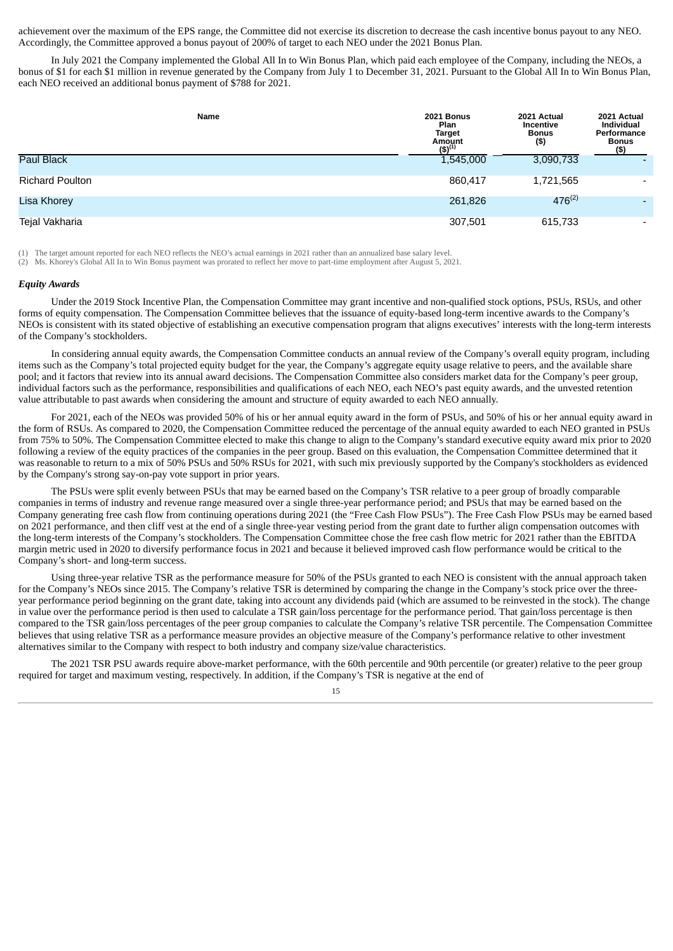achievement over the maximum of the EPS range, the Committee did not exercise its discretion to decrease the cash incentive bonus payout to any NEO. Accordingly, the Committee approved a bonus payout of 200% of target to each NEO under the 2021 Bonus Plan.

In July 2021 the Company implemented the Global All In to Win Bonus Plan, which paid each employee of the Company, including the NEOs, a bonus of \$1 for each \$1 million in revenue generated by the Company from July 1 to December 31, 2021. Pursuant to the Global All In to Win Bonus Plan, each NEO received an additional bonus payment of \$788 for 2021.

| Name                   | <b>2021 Bonus</b><br>Plan<br><b>Target</b><br>Amount<br>$(5)^{(1)}$ | 2021 Actual<br><b>Incentive</b><br><b>Bonus</b><br>(\$) | 2021 Actual<br><b>Individual</b><br>Performance<br><b>Bonus</b><br>(5) |
|------------------------|---------------------------------------------------------------------|---------------------------------------------------------|------------------------------------------------------------------------|
| <b>Paul Black</b>      | 1,545,000                                                           | 3,090,733                                               |                                                                        |
| <b>Richard Poulton</b> | 860,417                                                             | 1,721,565                                               | $\overline{\phantom{0}}$                                               |
| <b>Lisa Khorey</b>     | 261,826                                                             | $476^{(2)}$                                             | -                                                                      |
| Tejal Vakharia         | 307,501                                                             | 615,733                                                 | $\overline{\phantom{0}}$                                               |

(1) The target amount reported for each NEO reflects the NEO's actual earnings in 2021 rather than an annualized base salary level.

(2) Ms. Khorey's Global All In to Win Bonus payment was prorated to reflect her move to part-time employment after August 5, 2021.

#### *Equity Awards*

Under the 2019 Stock Incentive Plan, the Compensation Committee may grant incentive and non-qualified stock options, PSUs, RSUs, and other forms of equity compensation. The Compensation Committee believes that the issuance of equity-based long-term incentive awards to the Company's NEOs is consistent with its stated objective of establishing an executive compensation program that aligns executives' interests with the long-term interests of the Company's stockholders.

In considering annual equity awards, the Compensation Committee conducts an annual review of the Company's overall equity program, including items such as the Company's total projected equity budget for the year, the Company's aggregate equity usage relative to peers, and the available share pool; and it factors that review into its annual award decisions. The Compensation Committee also considers market data for the Company's peer group, individual factors such as the performance, responsibilities and qualifications of each NEO, each NEO's past equity awards, and the unvested retention value attributable to past awards when considering the amount and structure of equity awarded to each NEO annually.

For 2021, each of the NEOs was provided 50% of his or her annual equity award in the form of PSUs, and 50% of his or her annual equity award in the form of RSUs. As compared to 2020, the Compensation Committee reduced the percentage of the annual equity awarded to each NEO granted in PSUs from 75% to 50%. The Compensation Committee elected to make this change to align to the Company's standard executive equity award mix prior to 2020 following a review of the equity practices of the companies in the peer group. Based on this evaluation, the Compensation Committee determined that it was reasonable to return to a mix of 50% PSUs and 50% RSUs for 2021, with such mix previously supported by the Company's stockholders as evidenced by the Company's strong say-on-pay vote support in prior years.

The PSUs were split evenly between PSUs that may be earned based on the Company's TSR relative to a peer group of broadly comparable companies in terms of industry and revenue range measured over a single three-year performance period; and PSUs that may be earned based on the Company generating free cash flow from continuing operations during 2021 (the "Free Cash Flow PSUs"). The Free Cash Flow PSUs may be earned based on 2021 performance, and then cliff vest at the end of a single three-year vesting period from the grant date to further align compensation outcomes with the long-term interests of the Company's stockholders. The Compensation Committee chose the free cash flow metric for 2021 rather than the EBITDA margin metric used in 2020 to diversify performance focus in 2021 and because it believed improved cash flow performance would be critical to the Company's short- and long-term success.

Using three-year relative TSR as the performance measure for 50% of the PSUs granted to each NEO is consistent with the annual approach taken for the Company's NEOs since 2015. The Company's relative TSR is determined by comparing the change in the Company's stock price over the threeyear performance period beginning on the grant date, taking into account any dividends paid (which are assumed to be reinvested in the stock). The change in value over the performance period is then used to calculate a TSR gain/loss percentage for the performance period. That gain/loss percentage is then compared to the TSR gain/loss percentages of the peer group companies to calculate the Company's relative TSR percentile. The Compensation Committee believes that using relative TSR as a performance measure provides an objective measure of the Company's performance relative to other investment alternatives similar to the Company with respect to both industry and company size/value characteristics.

The 2021 TSR PSU awards require above-market performance, with the 60th percentile and 90th percentile (or greater) relative to the peer group required for target and maximum vesting, respectively. In addition, if the Company's TSR is negative at the end of

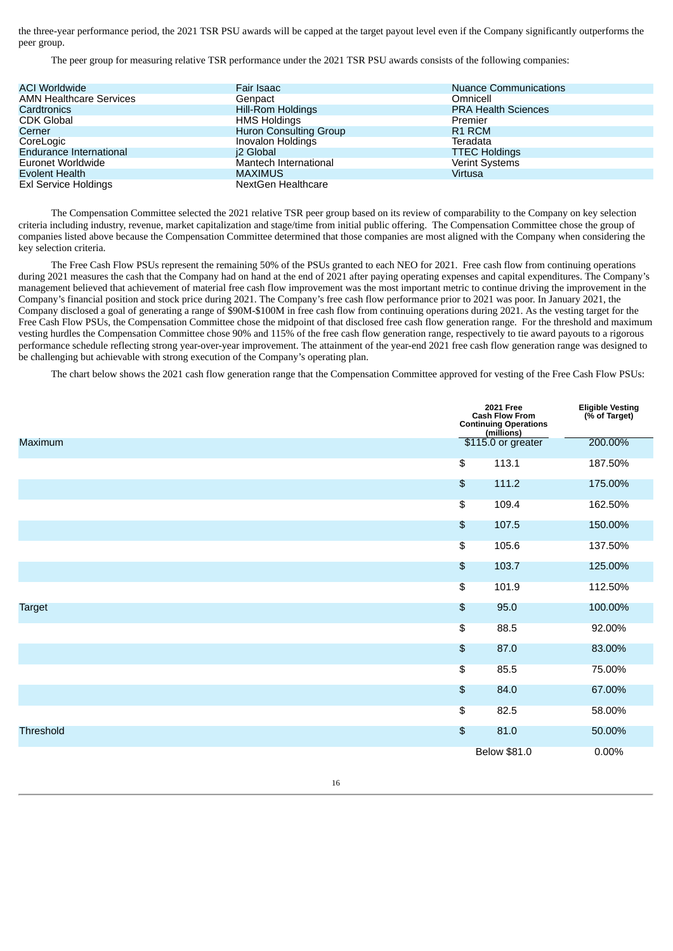the three-year performance period, the 2021 TSR PSU awards will be capped at the target payout level even if the Company significantly outperforms the peer group.

The peer group for measuring relative TSR performance under the 2021 TSR PSU awards consists of the following companies:

| <b>ACI Worldwide</b>           | Fair Isaac               | <b>Nuance Communications</b> |
|--------------------------------|--------------------------|------------------------------|
| <b>AMN Healthcare Services</b> | Genpact                  | Omnicell                     |
| Cardtronics                    | <b>Hill-Rom Holdings</b> | <b>PRA Health Sciences</b>   |
| <b>CDK Global</b>              | <b>HMS Holdings</b>      | Premier                      |
| Cerner                         | Huron Consulting Group   | R <sub>1</sub> RCM           |
| CoreLogic                      | Inovalon Holdings        | Teradata                     |
| Endurance International        | i2 Global                | <b>TTEC Holdings</b>         |
| Euronet Worldwide              | Mantech International    | <b>Verint Systems</b>        |
| Evolent Health                 | <b>MAXIMUS</b>           | Virtusa                      |
| <b>Exl Service Holdings</b>    | NextGen Healthcare       |                              |

The Compensation Committee selected the 2021 relative TSR peer group based on its review of comparability to the Company on key selection criteria including industry, revenue, market capitalization and stage/time from initial public offering. The Compensation Committee chose the group of companies listed above because the Compensation Committee determined that those companies are most aligned with the Company when considering the key selection criteria.

The Free Cash Flow PSUs represent the remaining 50% of the PSUs granted to each NEO for 2021. Free cash flow from continuing operations during 2021 measures the cash that the Company had on hand at the end of 2021 after paying operating expenses and capital expenditures. The Company's management believed that achievement of material free cash flow improvement was the most important metric to continue driving the improvement in the Company's financial position and stock price during 2021. The Company's free cash flow performance prior to 2021 was poor. In January 2021, the Company disclosed a goal of generating a range of \$90M-\$100M in free cash flow from continuing operations during 2021. As the vesting target for the Free Cash Flow PSUs, the Compensation Committee chose the midpoint of that disclosed free cash flow generation range. For the threshold and maximum vesting hurdles the Compensation Committee chose 90% and 115% of the free cash flow generation range, respectively to tie award payouts to a rigorous performance schedule reflecting strong year-over-year improvement. The attainment of the year-end 2021 free cash flow generation range was designed to be challenging but achievable with strong execution of the Company's operating plan.

The chart below shows the 2021 cash flow generation range that the Compensation Committee approved for vesting of the Free Cash Flow PSUs:

|                  |                            | <b>2021 Free</b><br><b>Cash Flow From</b><br><b>Continuing Operations</b><br>(millions) | Eligible Vesting<br>(% of Target) |
|------------------|----------------------------|-----------------------------------------------------------------------------------------|-----------------------------------|
| <b>Maximum</b>   |                            | \$115.0 or greater                                                                      | 200.00%                           |
|                  | $\overline{\mathcal{L}}$   | 113.1                                                                                   | 187.50%                           |
|                  | $$\mathfrak{F}$$           | 111.2                                                                                   | 175.00%                           |
|                  | $\overline{\mathcal{L}}$   | 109.4                                                                                   | 162.50%                           |
|                  | $\boldsymbol{\mathsf{\$}}$ | 107.5                                                                                   | 150.00%                           |
|                  | $\overline{\mathcal{L}}$   | 105.6                                                                                   | 137.50%                           |
|                  | $$\mathfrak{F}$$           | 103.7                                                                                   | 125.00%                           |
|                  | $\overline{\mathcal{L}}$   | 101.9                                                                                   | 112.50%                           |
| <b>Target</b>    | $$\mathfrak{F}$$           | 95.0                                                                                    | 100.00%                           |
|                  | $\overline{\mathfrak{s}}$  | 88.5                                                                                    | 92.00%                            |
|                  | $$\mathfrak{F}$$           | 87.0                                                                                    | 83.00%                            |
|                  | $\overline{\mathcal{L}}$   | 85.5                                                                                    | 75.00%                            |
|                  | $\pmb{\mathfrak{s}}$       | 84.0                                                                                    | 67.00%                            |
|                  | $\overline{\mathfrak{s}}$  | 82.5                                                                                    | 58.00%                            |
| <b>Threshold</b> | $$\mathfrak{F}$$           | 81.0                                                                                    | 50.00%                            |
|                  |                            | <b>Below \$81.0</b>                                                                     | 0.00%                             |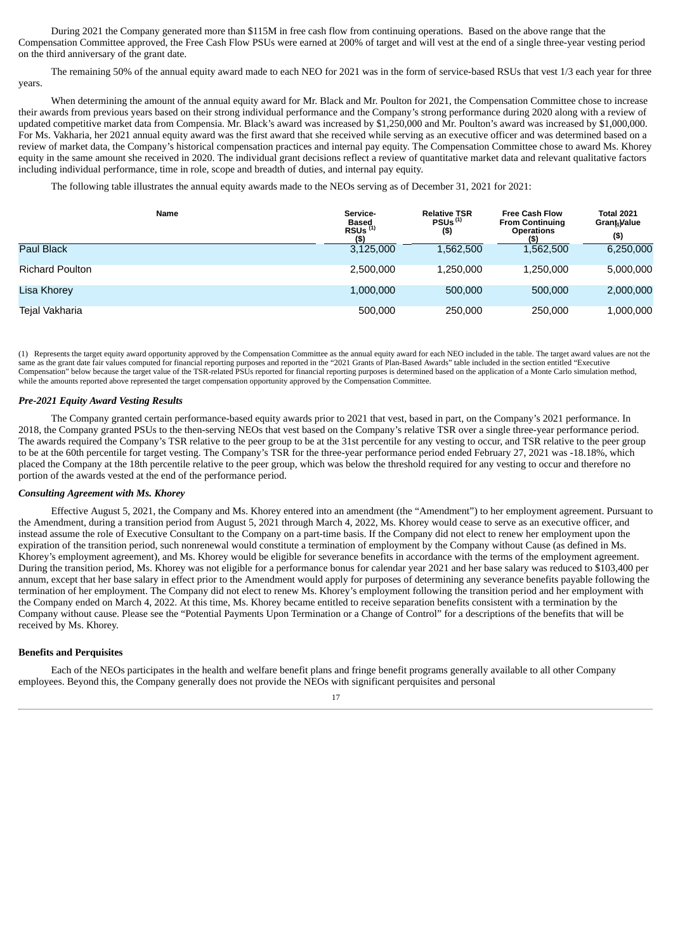During 2021 the Company generated more than \$115M in free cash flow from continuing operations. Based on the above range that the Compensation Committee approved, the Free Cash Flow PSUs were earned at 200% of target and will vest at the end of a single three-year vesting period on the third anniversary of the grant date.

The remaining 50% of the annual equity award made to each NEO for 2021 was in the form of service-based RSUs that vest 1/3 each year for three years.

When determining the amount of the annual equity award for Mr. Black and Mr. Poulton for 2021, the Compensation Committee chose to increase their awards from previous years based on their strong individual performance and the Company's strong performance during 2020 along with a review of updated competitive market data from Compensia. Mr. Black's award was increased by \$1,250,000 and Mr. Poulton's award was increased by \$1,000,000. For Ms. Vakharia, her 2021 annual equity award was the first award that she received while serving as an executive officer and was determined based on a review of market data, the Company's historical compensation practices and internal pay equity. The Compensation Committee chose to award Ms. Khorey equity in the same amount she received in 2020. The individual grant decisions reflect a review of quantitative market data and relevant qualitative factors including individual performance, time in role, scope and breadth of duties, and internal pay equity.

The following table illustrates the annual equity awards made to the NEOs serving as of December 31, 2021 for 2021:

| Name                   | Service-<br><b>Based</b><br>RSUS <sup>(1)</sup><br>$($ \$) | <b>Relative TSR</b><br>PSUs <sup>(1)</sup><br>$($ \$) | <b>Free Cash Flow</b><br><b>From Continuing</b><br><b>Operations</b><br>(5) | <b>Total 2021</b><br>Grant <sub>1</sub> Value<br>$($ \$) |
|------------------------|------------------------------------------------------------|-------------------------------------------------------|-----------------------------------------------------------------------------|----------------------------------------------------------|
| <b>Paul Black</b>      | 3,125,000                                                  | 1,562,500                                             | 1,562,500                                                                   | 6,250,000                                                |
| <b>Richard Poulton</b> | 2.500.000                                                  | 1.250.000                                             | 1.250.000                                                                   | 5,000,000                                                |
| Lisa Khorey            | 1,000,000                                                  | 500,000                                               | 500,000                                                                     | 2,000,000                                                |
| Tejal Vakharia         | 500,000                                                    | 250,000                                               | 250,000                                                                     | 1,000,000                                                |

(1) Represents the target equity award opportunity approved by the Compensation Committee as the annual equity award for each NEO included in the table. The target award values are not the same as the grant date fair values computed for financial reporting purposes and reported in the "2021 Grants of Plan-Based Awards" table included in the section entitled "Executive Compensation" below because the target value of the TSR-related PSUs reported for financial reporting purposes is determined based on the application of a Monte Carlo simulation method, while the amounts reported above represented the target compensation opportunity approved by the Compensation Committee.

#### *Pre-2021 Equity Award Vesting Results*

The Company granted certain performance-based equity awards prior to 2021 that vest, based in part, on the Company's 2021 performance. In 2018, the Company granted PSUs to the then-serving NEOs that vest based on the Company's relative TSR over a single three-year performance period. The awards required the Company's TSR relative to the peer group to be at the 31st percentile for any vesting to occur, and TSR relative to the peer group to be at the 60th percentile for target vesting. The Company's TSR for the three-year performance period ended February 27, 2021 was -18.18%, which placed the Company at the 18th percentile relative to the peer group, which was below the threshold required for any vesting to occur and therefore no portion of the awards vested at the end of the performance period.

#### *Consulting Agreement with Ms. Khorey*

Effective August 5, 2021, the Company and Ms. Khorey entered into an amendment (the "Amendment") to her employment agreement. Pursuant to the Amendment, during a transition period from August 5, 2021 through March 4, 2022, Ms. Khorey would cease to serve as an executive officer, and instead assume the role of Executive Consultant to the Company on a part-time basis. If the Company did not elect to renew her employment upon the expiration of the transition period, such nonrenewal would constitute a termination of employment by the Company without Cause (as defined in Ms. Khorey's employment agreement), and Ms. Khorey would be eligible for severance benefits in accordance with the terms of the employment agreement. During the transition period, Ms. Khorey was not eligible for a performance bonus for calendar year 2021 and her base salary was reduced to \$103,400 per annum, except that her base salary in effect prior to the Amendment would apply for purposes of determining any severance benefits payable following the termination of her employment. The Company did not elect to renew Ms. Khorey's employment following the transition period and her employment with the Company ended on March 4, 2022. At this time, Ms. Khorey became entitled to receive separation benefits consistent with a termination by the Company without cause. Please see the "Potential Payments Upon Termination or a Change of Control" for a descriptions of the benefits that will be received by Ms. Khorey.

#### **Benefits and Perquisites**

Each of the NEOs participates in the health and welfare benefit plans and fringe benefit programs generally available to all other Company employees. Beyond this, the Company generally does not provide the NEOs with significant perquisites and personal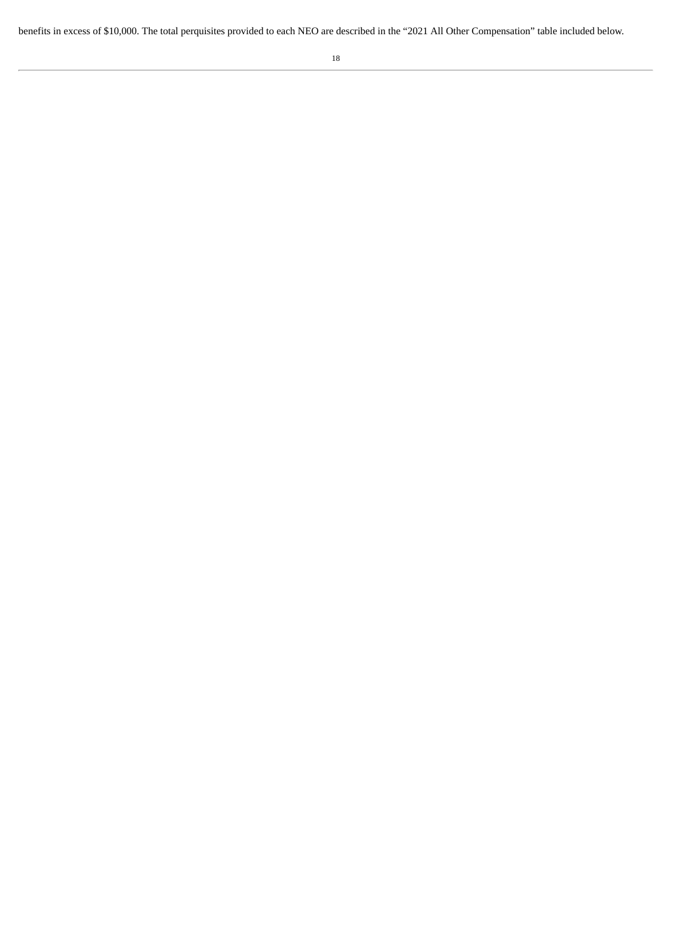benefits in excess of \$10,000. The total perquisites provided to each NEO are described in the "2021 All Other Compensation" table included below.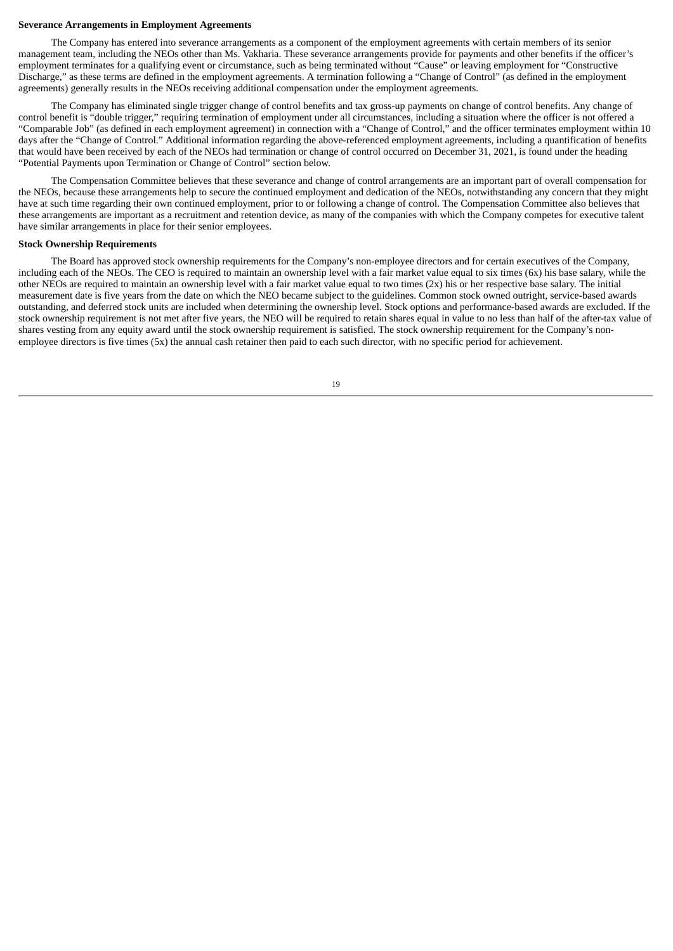#### **Severance Arrangements in Employment Agreements**

The Company has entered into severance arrangements as a component of the employment agreements with certain members of its senior management team, including the NEOs other than Ms. Vakharia. These severance arrangements provide for payments and other benefits if the officer's employment terminates for a qualifying event or circumstance, such as being terminated without "Cause" or leaving employment for "Constructive Discharge," as these terms are defined in the employment agreements. A termination following a "Change of Control" (as defined in the employment agreements) generally results in the NEOs receiving additional compensation under the employment agreements.

The Company has eliminated single trigger change of control benefits and tax gross-up payments on change of control benefits. Any change of control benefit is "double trigger," requiring termination of employment under all circumstances, including a situation where the officer is not offered a "Comparable Job" (as defined in each employment agreement) in connection with a "Change of Control," and the officer terminates employment within 10 days after the "Change of Control." Additional information regarding the above-referenced employment agreements, including a quantification of benefits that would have been received by each of the NEOs had termination or change of control occurred on December 31, 2021, is found under the heading "Potential Payments upon Termination or Change of Control" section below.

The Compensation Committee believes that these severance and change of control arrangements are an important part of overall compensation for the NEOs, because these arrangements help to secure the continued employment and dedication of the NEOs, notwithstanding any concern that they might have at such time regarding their own continued employment, prior to or following a change of control. The Compensation Committee also believes that these arrangements are important as a recruitment and retention device, as many of the companies with which the Company competes for executive talent have similar arrangements in place for their senior employees.

#### **Stock Ownership Requirements**

The Board has approved stock ownership requirements for the Company's non-employee directors and for certain executives of the Company, including each of the NEOs. The CEO is required to maintain an ownership level with a fair market value equal to six times (6x) his base salary, while the other NEOs are required to maintain an ownership level with a fair market value equal to two times (2x) his or her respective base salary. The initial measurement date is five years from the date on which the NEO became subject to the guidelines. Common stock owned outright, service-based awards outstanding, and deferred stock units are included when determining the ownership level. Stock options and performance-based awards are excluded. If the stock ownership requirement is not met after five years, the NEO will be required to retain shares equal in value to no less than half of the after-tax value of shares vesting from any equity award until the stock ownership requirement is satisfied. The stock ownership requirement for the Company's nonemployee directors is five times (5x) the annual cash retainer then paid to each such director, with no specific period for achievement.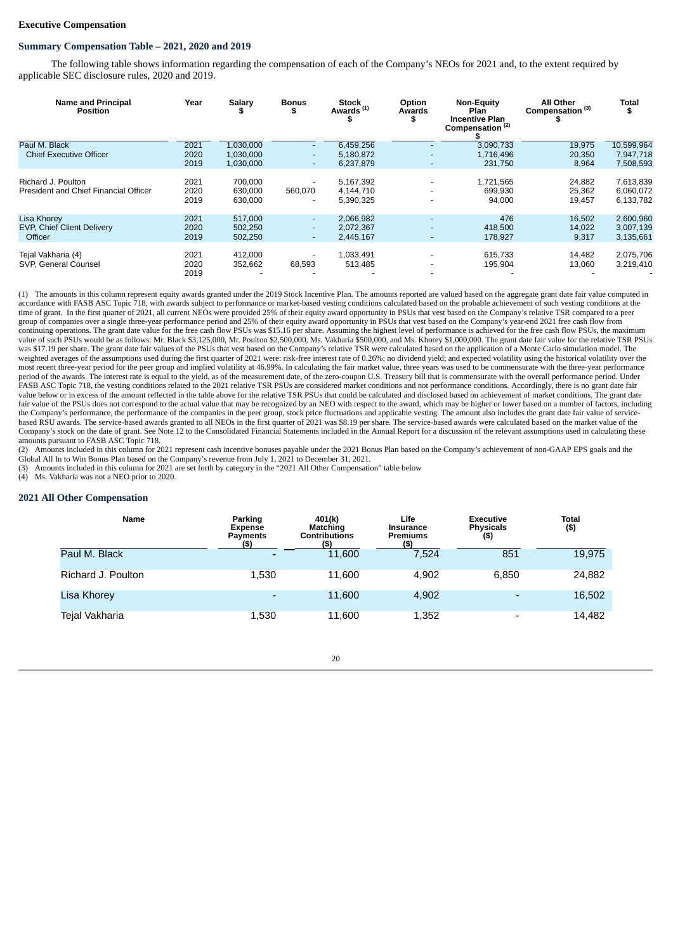#### **Executive Compensation**

#### **Summary Compensation Table – 2021, 2020 and 2019**

The following table shows information regarding the compensation of each of the Company's NEOs for 2021 and, to the extent required by applicable SEC disclosure rules, 2020 and 2019.

| <b>Name and Principal</b><br><b>Position</b>                       | Year                 | Salary<br>ж                         | <b>Bonus</b><br>ъ                            | <b>Stock</b><br>Awards <sup>(1)</sup> | Option<br><b>Awards</b><br>\$ | <b>Non-Equity</b><br>Plan<br><b>Incentive Plan</b><br>Compensation <sup>(2)</sup> | <b>All Other</b><br>Compensation <sup>(3)</sup> | Total<br>\$                          |
|--------------------------------------------------------------------|----------------------|-------------------------------------|----------------------------------------------|---------------------------------------|-------------------------------|-----------------------------------------------------------------------------------|-------------------------------------------------|--------------------------------------|
| Paul M. Black<br><b>Chief Executive Officer</b>                    | 2021<br>2020<br>2019 | 1,030,000<br>1,030,000<br>1,030,000 | $\overline{\phantom{a}}$<br>$\overline{a}$   | 6,459,256<br>5,180,872<br>6,237,879   | $\overline{\phantom{a}}$      | 3,090,733<br>1.716.496<br>231,750                                                 | 19,975<br>20,350<br>8,964                       | 10,599,964<br>7,947,718<br>7,508,593 |
| Richard J. Poulton<br>President and Chief Financial Officer        | 2021<br>2020<br>2019 | 700.000<br>630.000<br>630,000       | 560.070                                      | 5,167,392<br>4,144,710<br>5,390,325   |                               | 1,721,565<br>699,930<br>94,000                                                    | 24,882<br>25,362<br>19,457                      | 7,613,839<br>6,060,072<br>6,133,782  |
| <b>Lisa Khorev</b><br><b>EVP, Chief Client Delivery</b><br>Officer | 2021<br>2020<br>2019 | 517.000<br>502,250<br>502,250       | $\sim$<br>$\overline{\phantom{0}}$<br>$\sim$ | 2,066,982<br>2,072,367<br>2,445,167   | $\overline{\phantom{a}}$      | 476<br>418,500<br>178.927                                                         | 16,502<br>14,022<br>9,317                       | 2,600,960<br>3,007,139<br>3,135,661  |
| Tejal Vakharia (4)<br>SVP, General Counsel                         | 2021<br>2020<br>2019 | 412,000<br>352,662                  | 68,593                                       | 1,033,491<br>513,485                  |                               | 615,733<br>195,904                                                                | 14,482<br>13,060                                | 2,075,706<br>3,219,410               |

(1) The amounts in this column represent equity awards granted under the 2019 Stock Incentive Plan. The amounts reported are valued based on the aggregate grant date fair value computed in accordance with FASB ASC Topic 718, with awards subject to performance or market-based vesting conditions calculated based on the probable achievement of such vesting conditions at the time of grant. In the first quarter of 2021, all current NEOs were provided 25% of their equity award opportunity in PSUs that vest based on the Company's relative TSR compared to a peer group of companies over a single three-year performance period and 25% of their equity award opportunity in PSUs that vest based on the Company's year-end 2021 free cash flow from continuing operations. The grant date value for the free cash flow PSUs was \$15.16 per share. Assuming the highest level of performance is achieved for the free cash flow PSUs, the maximum value of such PSUs would be as follows: Mr. Black \$3,125,000, Mr. Poulton \$2,500,000, Ms. Vakharia \$500,000, and Ms. Khorey \$1,000,000. The grant date fair value for the relative TSR PSUs was \$17.19 per share. The grant date fair values of the PSUs that vest based on the Company's relative TSR were calculated based on the application of a Monte Carlo simulation model. The weighted averages of the assumptions used during the first quarter of 2021 were: risk-free interest rate of 0.26%; no dividend yield; and expected volatility using the historical volatility over the most recent three-year period for the peer group and implied volatility at 46.99%. In calculating the fair market value, three years was used to be commensurate with the three-year performance period of the awards. The interest rate is equal to the yield, as of the measurement date, of the zero-coupon U.S. Treasury bill that is commensurate with the overall performance period. Under FASB ASC Topic 718, the vesting conditions related to the 2021 relative TSR PSUs are considered market conditions and not performance conditions. Accordingly, there is no grant date fair value below or in excess of the amount reflected in the table above for the relative TSR PSUs that could be calculated and disclosed based on achievement of market conditions. The grant date fair value of the PSUs does not correspond to the actual value that may be recognized by an NEO with respect to the award, which may be higher or lower based on a number of factors, including the Company's performance, the performance of the companies in the peer group, stock price fluctuations and applicable vesting. The amount also includes the grant date fair value of servicebased RSU awards. The service-based awards granted to all NEOs in the first quarter of 2021 was \$8.19 per share. The service-based awards were calculated based on the market value of the Company's stock on the date of grant. See Note 12 to the Consolidated Financial Statements included in the Annual Report for a discussion of the relevant assumptions used in calculating these amounts pursuant to FASB ASC Topic 718.

(2) Amounts included in this column for 2021 represent cash incentive bonuses payable under the 2021 Bonus Plan based on the Company's achievement of non-GAAP EPS goals and the Global All In to Win Bonus Plan based on the Company's revenue from July 1, 2021 to December 31, 2021.

(3) Amounts included in this column for 2021 are set forth by category in the "2021 All Other Compensation" table below

(4) Ms. Vakharia was not a NEO prior to 2020.

#### **2021 All Other Compensation**

| Name               | Parking<br><b>Expense</b><br><b>Payments</b><br>(\$) | 401(k)<br><b>Matching</b><br><b>Contributions</b><br>(5) | Life<br><b>Insurance</b><br><b>Premiums</b><br>(\$) | <b>Executive</b><br><b>Physicals</b><br>$($ \$) | <b>Total</b><br>$($ \$) |
|--------------------|------------------------------------------------------|----------------------------------------------------------|-----------------------------------------------------|-------------------------------------------------|-------------------------|
| Paul M. Black      |                                                      | 11.600                                                   | 7.524                                               | 851                                             | 19,975                  |
| Richard J. Poulton | 1,530                                                | 11.600                                                   | 4.902                                               | 6,850                                           | 24,882                  |
| Lisa Khorey        | -                                                    | 11.600                                                   | 4,902                                               | $\overline{\phantom{0}}$                        | 16,502                  |
| Tejal Vakharia     | 1,530                                                | 11,600                                                   | 1,352                                               | $\overline{\phantom{a}}$                        | 14,482                  |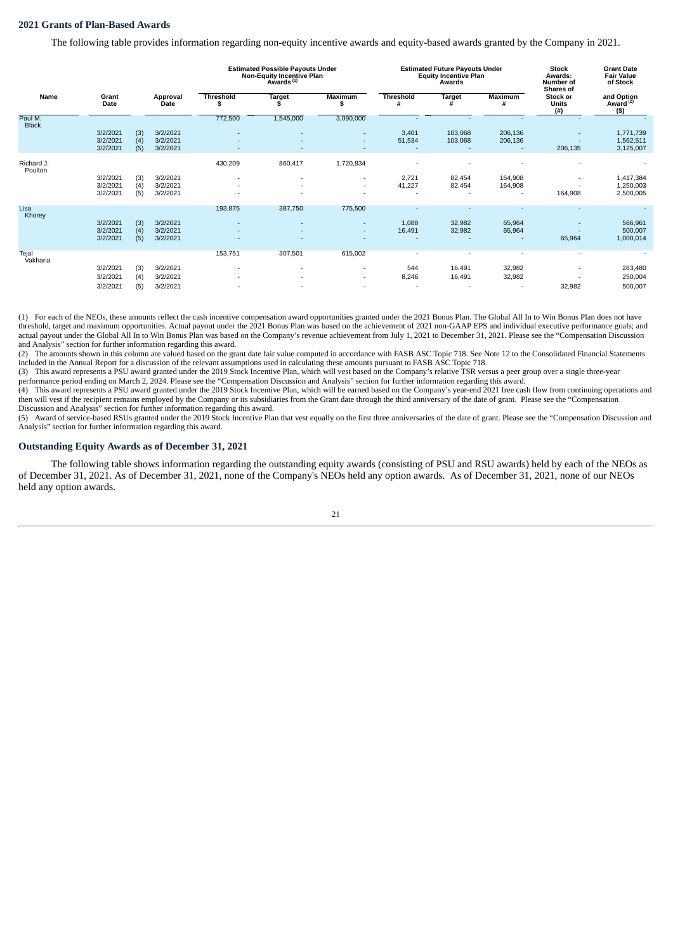#### **2021 Grants of Plan-Based Awards**

The following table provides information regarding non-equity incentive awards and equity-based awards granted by the Company in 2021.

|                         |                                  |                   |                                  |                        | <b>Estimated Possible Payouts Under</b><br><b>Non-Equity Incentive Plan</b><br>Awards <sup>(1)</sup> |                                    |                       | <b>Estimated Future Payouts Under</b><br><b>Equity Incentive Plan</b><br>Awards |                                      | <b>Stock</b><br>Awards:<br>Number of<br><b>Shares of</b> | <b>Grant Date</b><br><b>Fair Value</b><br>of Stock |
|-------------------------|----------------------------------|-------------------|----------------------------------|------------------------|------------------------------------------------------------------------------------------------------|------------------------------------|-----------------------|---------------------------------------------------------------------------------|--------------------------------------|----------------------------------------------------------|----------------------------------------------------|
| Name                    | Grant<br>Date                    |                   | Approval<br>Date                 | <b>Threshold</b><br>\$ | <b>Target</b>                                                                                        | <b>Maximum</b><br>S                | <b>Threshold</b><br># | <b>Target</b><br>#                                                              | Maximum<br>#                         | Stock or<br><b>Units</b><br>(#)                          | and Option<br>Award <sup>(2)</sup><br>(5)          |
| Paul M.<br><b>Black</b> |                                  |                   |                                  | 772,500                | 1,545,000                                                                                            | 3,090,000                          |                       |                                                                                 |                                      |                                                          |                                                    |
|                         | 3/2/2021<br>3/2/2021<br>3/2/2021 | (3)<br>(4)<br>(5) | 3/2/2021<br>3/2/2021<br>3/2/2021 |                        |                                                                                                      | ٠                                  | 3,401<br>51,534       | 103,068<br>103,068                                                              | 206,136<br>206,136<br>$\overline{a}$ | ٠<br>٠<br>206,135                                        | 1,771,739<br>1,562,511<br>3,125,007                |
| Richard J.<br>Poulton   |                                  |                   |                                  | 430,209                | 860,417                                                                                              | 1,720,834                          |                       |                                                                                 |                                      |                                                          |                                                    |
|                         | 3/2/2021<br>3/2/2021<br>3/2/2021 | (3)<br>(4)<br>(5) | 3/2/2021<br>3/2/2021<br>3/2/2021 |                        |                                                                                                      | $\overline{\phantom{a}}$           | 2,721<br>41,227       | 82,454<br>82,454                                                                | 164,908<br>164,908<br>$\sim$         | ٠<br>164,908                                             | 1,417,384<br>1,250,003<br>2,500,005                |
| Lisa<br>Khorey          |                                  |                   |                                  | 193,875                | 387,750                                                                                              | 775,500                            |                       |                                                                                 |                                      |                                                          |                                                    |
|                         | 3/2/2021<br>3/2/2021<br>3/2/2021 | (3)<br>(4)<br>(5) | 3/2/2021<br>3/2/2021<br>3/2/2021 |                        |                                                                                                      | ٠<br>٠                             | 1,088<br>16,491       | 32,982<br>32,982                                                                | 65,964<br>65,964                     | $\overline{a}$<br>65,964                                 | 566,961<br>500,007<br>1,000,014                    |
| Tejal<br>Vakharia       |                                  |                   |                                  | 153,751                | 307,501                                                                                              | 615,002                            |                       |                                                                                 |                                      |                                                          |                                                    |
|                         | 3/2/2021                         | (3)               | 3/2/2021                         |                        |                                                                                                      | $\overline{\phantom{a}}$           | 544                   | 16,491                                                                          | 32,982                               | ٠                                                        | 283,480                                            |
|                         | 3/2/2021<br>3/2/2021             | (4)<br>(5)        | 3/2/2021<br>3/2/2021             |                        |                                                                                                      | $\overline{\phantom{a}}$<br>$\sim$ | 8,246                 | 16,491                                                                          | 32,982<br>٠.                         | 32,982                                                   | 250,004<br>500,007                                 |

(1) For each of the NEOs, these amounts reflect the cash incentive compensation award opportunities granted under the 2021 Bonus Plan. The Global All In to Win Bonus Plan does not have threshold, target and maximum opportunities. Actual payout under the 2021 Bonus Plan was based on the achievement of 2021 non-GAAP EPS and individual executive performance goals; and actual payout under the Global All In to Win Bonus Plan was based on the Company's revenue achievement from July 1, 2021 to December 31, 2021. Please see the "Compensation Discussion and Analysis" section for further information regarding this award.

(2) The amounts shown in this column are valued based on the grant date fair value computed in accordance with FASB ASC Topic 718. See Note 12 to the Consolidated Financial Statements included in the Annual Report for a discussion of the relevant assumptions used in calculating these amounts pursuant to FASB ASC Topic 718.

(3) This award represents a PSU award granted under the 2019 Stock Incentive Plan, which will vest based on the Company's relative TSR versus a peer group over a single three-year performance period ending on March 2, 2024. Please see the "Compensation Discussion and Analysis" section for further information regarding this award.

(4) This award represents a PSU award granted under the 2019 Stock Incentive Plan, which will be earned based on the Company's year-end 2021 free cash flow from continuing operations and then will vest if the recipient remains employed by the Company or its subsidiaries from the Grant date through the third anniversary of the date of grant. Please see the "Compensation Discussion and Analysis" section for further information regarding this award.

(5) Award of service-based RSUs granted under the 2019 Stock Incentive Plan that vest equally on the first three anniversaries of the date of grant. Please see the "Compensation Discussion and Analysis" section for further information regarding this award.

#### **Outstanding Equity Awards as of December 31, 2021**

The following table shows information regarding the outstanding equity awards (consisting of PSU and RSU awards) held by each of the NEOs as of December 31, 2021. As of December 31, 2021, none of the Company's NEOs held any option awards. As of December 31, 2021, none of our NEOs held any option awards.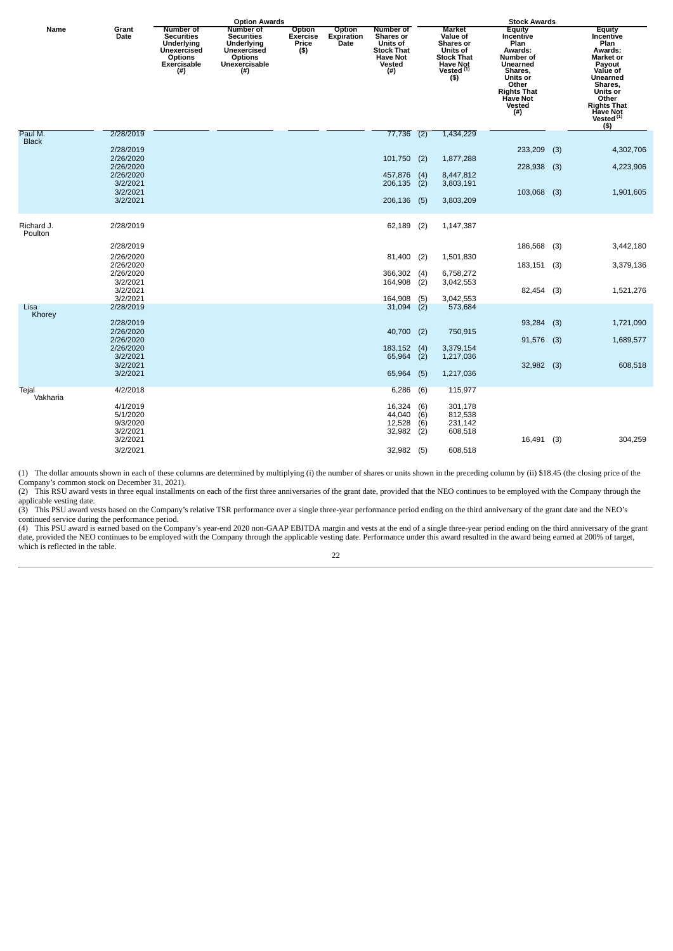|                       |                                              | <b>Option Awards</b>                                                                                 |                                                                                                        |                                            | <b>Stock Awards</b>                 |                                                                                                     |                          |                                                                                                                    |                                                                                                                                                                  |     |                                                                                                                                                                                                         |
|-----------------------|----------------------------------------------|------------------------------------------------------------------------------------------------------|--------------------------------------------------------------------------------------------------------|--------------------------------------------|-------------------------------------|-----------------------------------------------------------------------------------------------------|--------------------------|--------------------------------------------------------------------------------------------------------------------|------------------------------------------------------------------------------------------------------------------------------------------------------------------|-----|---------------------------------------------------------------------------------------------------------------------------------------------------------------------------------------------------------|
| Name                  | Grant<br>Date                                | Number of<br><b>Securities</b><br>Underlying<br>Unexercised<br><b>Options</b><br>Exercisable<br>(# ) | Number of<br><b>Securities</b><br>Underlying<br>Unexercised<br><b>Options</b><br>Unexercisable<br>(# ) | Option<br><b>Exercise</b><br>Price<br>(\$) | Option<br><b>Expiration</b><br>Date | <b>Number of</b><br>Shares or<br><b>Units of</b><br>Stock That<br><b>Have Not</b><br>Vested<br>(# ) |                          | <b>Market</b><br>Value of<br>Shares or<br>Units of<br><b>Stock That</b><br><b>Have Not</b><br>Vested $(1)$<br>(\$) | <b>Equity</b><br>Incentive<br>Plan<br>Awards:<br>Number of<br>Unearned<br>Shares,<br>Units or<br>Other<br><b>Rights That</b><br><b>Have Not</b><br>Vested<br>(#) |     | <b>Equity</b><br>Incentive<br>Plan<br>Awards:<br><b>Market or</b><br>Payout<br>Value of<br>Unearned<br>Shares,<br>Units or<br>Other<br><b>Rights That</b><br><b>Have Not</b><br>Vested $(1)$<br>$($ \$) |
| Paul M.               | 2/28/2019                                    |                                                                                                      |                                                                                                        |                                            |                                     | 77,736                                                                                              | (2)                      | 1,434,229                                                                                                          |                                                                                                                                                                  |     |                                                                                                                                                                                                         |
| <b>Black</b>          | 2/28/2019<br>2/26/2020                       |                                                                                                      |                                                                                                        |                                            |                                     | 101,750                                                                                             | (2)                      | 1,877,288                                                                                                          | 233,209                                                                                                                                                          | (3) | 4,302,706                                                                                                                                                                                               |
|                       | 2/26/2020<br>2/26/2020<br>3/2/2021           |                                                                                                      |                                                                                                        |                                            |                                     | 457,876<br>206,135                                                                                  | (4)<br>(2)               | 8,447,812<br>3,803,191                                                                                             | 228,938                                                                                                                                                          | (3) | 4,223,906                                                                                                                                                                                               |
|                       | 3/2/2021<br>3/2/2021                         |                                                                                                      |                                                                                                        |                                            |                                     | 206,136                                                                                             | (5)                      | 3,803,209                                                                                                          | 103,068                                                                                                                                                          | (3) | 1,901,605                                                                                                                                                                                               |
| Richard J.<br>Poulton | 2/28/2019                                    |                                                                                                      |                                                                                                        |                                            |                                     | 62,189                                                                                              | (2)                      | 1,147,387                                                                                                          |                                                                                                                                                                  |     |                                                                                                                                                                                                         |
|                       | 2/28/2019                                    |                                                                                                      |                                                                                                        |                                            |                                     |                                                                                                     |                          |                                                                                                                    | 186,568 (3)                                                                                                                                                      |     | 3,442,180                                                                                                                                                                                               |
|                       | 2/26/2020<br>2/26/2020                       |                                                                                                      |                                                                                                        |                                            |                                     | 81,400                                                                                              | (2)                      | 1,501,830                                                                                                          | 183,151 (3)                                                                                                                                                      |     | 3,379,136                                                                                                                                                                                               |
|                       | 2/26/2020<br>3/2/2021<br>3/2/2021            |                                                                                                      |                                                                                                        |                                            |                                     | 366,302<br>164,908                                                                                  | $\binom{4}{2}$           | 6,758,272<br>3,042,553                                                                                             | 82,454 (3)                                                                                                                                                       |     | 1,521,276                                                                                                                                                                                               |
|                       | 3/2/2021                                     |                                                                                                      |                                                                                                        |                                            |                                     | 164,908                                                                                             | (5)                      | 3,042,553                                                                                                          |                                                                                                                                                                  |     |                                                                                                                                                                                                         |
| Lisa<br>Khorey        | 2/28/2019                                    |                                                                                                      |                                                                                                        |                                            |                                     | 31,094                                                                                              | (2)                      | 573,684                                                                                                            |                                                                                                                                                                  |     |                                                                                                                                                                                                         |
|                       | 2/28/2019<br>2/26/2020                       |                                                                                                      |                                                                                                        |                                            |                                     | 40,700                                                                                              | (2)                      | 750,915                                                                                                            | 93,284                                                                                                                                                           | (3) | 1,721,090                                                                                                                                                                                               |
|                       | 2/26/2020<br>2/26/2020<br>3/2/2021           |                                                                                                      |                                                                                                        |                                            |                                     | 183,152<br>65,964                                                                                   | (4)<br>(2)               | 3,379,154<br>1,217,036                                                                                             | 91,576 (3)                                                                                                                                                       |     | 1,689,577                                                                                                                                                                                               |
|                       | 3/2/2021<br>3/2/2021                         |                                                                                                      |                                                                                                        |                                            |                                     | 65,964                                                                                              | (5)                      | 1,217,036                                                                                                          | 32,982 (3)                                                                                                                                                       |     | 608,518                                                                                                                                                                                                 |
| Tejal<br>Vakharia     | 4/2/2018                                     |                                                                                                      |                                                                                                        |                                            |                                     | 6,286                                                                                               | (6)                      | 115,977                                                                                                            |                                                                                                                                                                  |     |                                                                                                                                                                                                         |
|                       | 4/1/2019<br>5/1/2020<br>9/3/2020<br>3/2/2021 |                                                                                                      |                                                                                                        |                                            |                                     | 16,324<br>44,040<br>12,528<br>32,982                                                                | (6)<br>(6)<br>(6)<br>(2) | 301,178<br>812,538<br>231,142<br>608,518                                                                           |                                                                                                                                                                  |     |                                                                                                                                                                                                         |
|                       | 3/2/2021<br>3/2/2021                         |                                                                                                      |                                                                                                        |                                            |                                     | 32,982                                                                                              | (5)                      | 608,518                                                                                                            | 16,491 (3)                                                                                                                                                       |     | 304,259                                                                                                                                                                                                 |

(1) The dollar amounts shown in each of these columns are determined by multiplying (i) the number of shares or units shown in the preceding column by (ii) \$18.45 (the closing price of the Company's common stock on December 31, 2021). (2) This RSU award vests in three equal installments on each of the first three anniversaries of the grant date, provided that the NEO continues to be employed with the Company through the

applicable vesting date. (3) This PSU award vests based on the Company's relative TSR performance over a single three-year performance period ending on the third anniversary of the grant date and the NEO's continued service during the performance period.

(4) This PSU award is earned based on the Company's year-end 2020 non-GAAP EBITDA margin and vests at the end of a single three-year period ending on the third anniversary of the grant date, provided the NEO continues to be employed with the Company through the applicable vesting date. Performance under this award resulted in the award being earned at 200% of target, which is reflected in the table.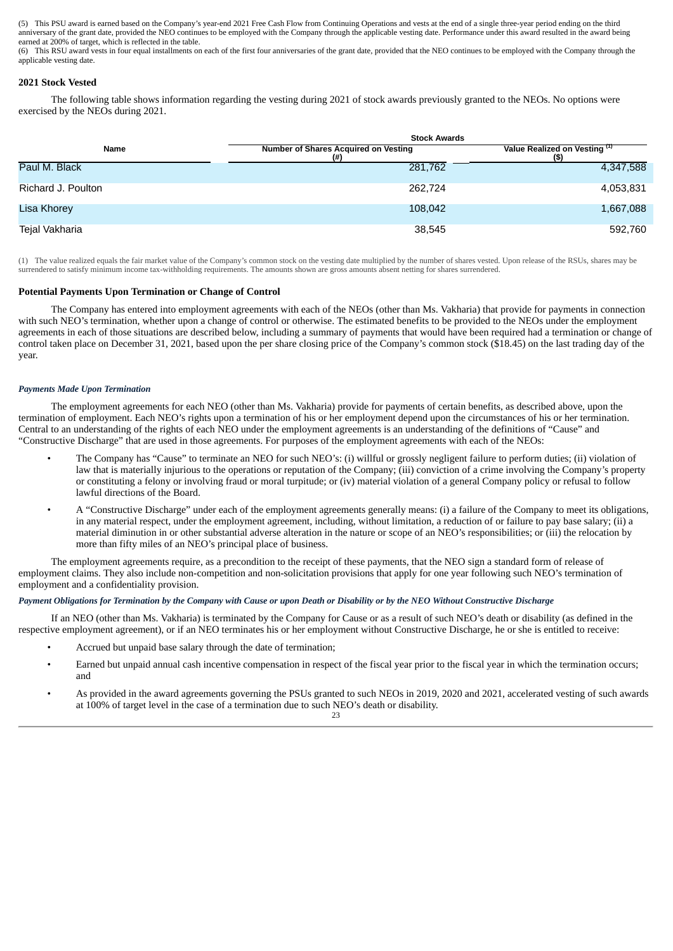(5) This PSU award is earned based on the Company's year-end 2021 Free Cash Flow from Continuing Operations and vests at the end of a single three-year period ending on the third anniversary of the grant date, provided the NEO continues to be employed with the Company through the applicable vesting date. Performance under this award resulted in the award being earned at 200% of target, which is reflected in the table.

(6) This RSU award vests in four equal installments on each of the first four anniversaries of the grant date, provided that the NEO continues to be employed with the Company through the applicable vesting date.

#### **2021 Stock Vested**

The following table shows information regarding the vesting during 2021 of stock awards previously granted to the NEOs. No options were exercised by the NEOs during 2021.

|                    | <b>Stock Awards</b>                                |                                       |  |  |  |  |
|--------------------|----------------------------------------------------|---------------------------------------|--|--|--|--|
| Name               | <b>Number of Shares Acquired on Vesting</b><br>(#) | Value Realized on Vesting (1)<br>(\$) |  |  |  |  |
| Paul M. Black      | 281,762                                            | 4,347,588                             |  |  |  |  |
| Richard J. Poulton | 262,724                                            | 4,053,831                             |  |  |  |  |
| Lisa Khorey        | 108,042                                            | 1,667,088                             |  |  |  |  |
| Tejal Vakharia     | 38,545                                             | 592,760                               |  |  |  |  |

(1) The value realized equals the fair market value of the Company's common stock on the vesting date multiplied by the number of shares vested. Upon release of the RSUs, shares may be surrendered to satisfy minimum income tax-withholding requirements. The amounts shown are gross amounts absent netting for shares surrendered.

#### **Potential Payments Upon Termination or Change of Control**

The Company has entered into employment agreements with each of the NEOs (other than Ms. Vakharia) that provide for payments in connection with such NEO's termination, whether upon a change of control or otherwise. The estimated benefits to be provided to the NEOs under the employment agreements in each of those situations are described below, including a summary of payments that would have been required had a termination or change of control taken place on December 31, 2021, based upon the per share closing price of the Company's common stock (\$18.45) on the last trading day of the year.

#### *Payments Made Upon Termination*

The employment agreements for each NEO (other than Ms. Vakharia) provide for payments of certain benefits, as described above, upon the termination of employment. Each NEO's rights upon a termination of his or her employment depend upon the circumstances of his or her termination. Central to an understanding of the rights of each NEO under the employment agreements is an understanding of the definitions of "Cause" and "Constructive Discharge" that are used in those agreements. For purposes of the employment agreements with each of the NEOs:

- The Company has "Cause" to terminate an NEO for such NEO's: (i) willful or grossly negligent failure to perform duties; (ii) violation of law that is materially injurious to the operations or reputation of the Company; (iii) conviction of a crime involving the Company's property or constituting a felony or involving fraud or moral turpitude; or (iv) material violation of a general Company policy or refusal to follow lawful directions of the Board.
- A "Constructive Discharge" under each of the employment agreements generally means: (i) a failure of the Company to meet its obligations, in any material respect, under the employment agreement, including, without limitation, a reduction of or failure to pay base salary; (ii) a material diminution in or other substantial adverse alteration in the nature or scope of an NEO's responsibilities; or (iii) the relocation by more than fifty miles of an NEO's principal place of business.

The employment agreements require, as a precondition to the receipt of these payments, that the NEO sign a standard form of release of employment claims. They also include non-competition and non-solicitation provisions that apply for one year following such NEO's termination of employment and a confidentiality provision.

#### *Payment Obligations for Termination by the Company with Cause or upon Death or Disability or by the NEO Without Constructive Discharge*

If an NEO (other than Ms. Vakharia) is terminated by the Company for Cause or as a result of such NEO's death or disability (as defined in the respective employment agreement), or if an NEO terminates his or her employment without Constructive Discharge, he or she is entitled to receive:

- Accrued but unpaid base salary through the date of termination;
- Earned but unpaid annual cash incentive compensation in respect of the fiscal year prior to the fiscal year in which the termination occurs; and
- As provided in the award agreements governing the PSUs granted to such NEOs in 2019, 2020 and 2021, accelerated vesting of such awards at 100% of target level in the case of a termination due to such NEO's death or disability.

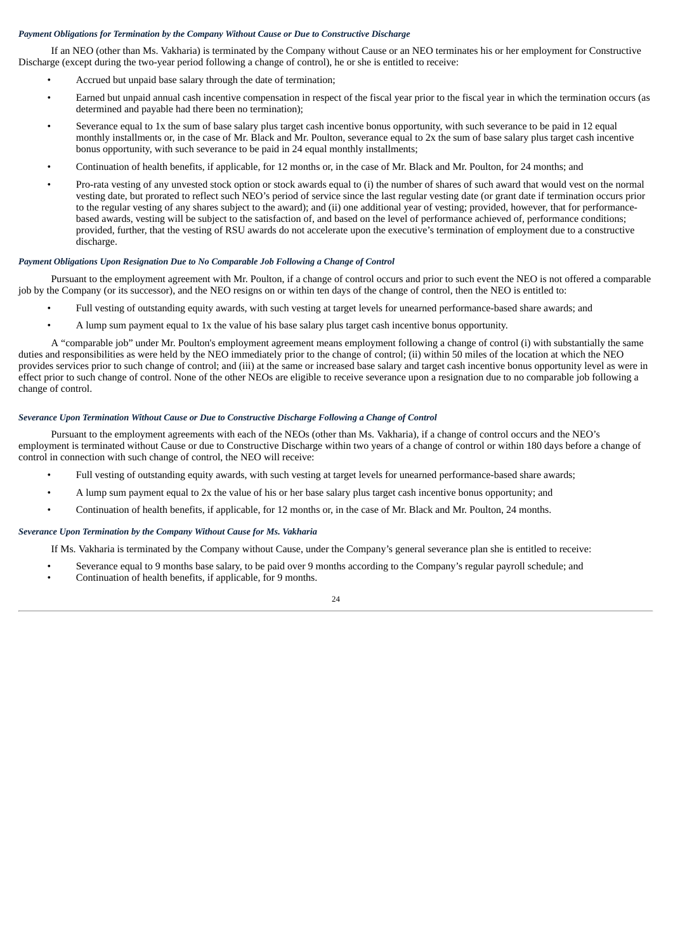#### *Payment Obligations for Termination by the Company Without Cause or Due to Constructive Discharge*

If an NEO (other than Ms. Vakharia) is terminated by the Company without Cause or an NEO terminates his or her employment for Constructive Discharge (except during the two-year period following a change of control), he or she is entitled to receive:

- Accrued but unpaid base salary through the date of termination;
- Earned but unpaid annual cash incentive compensation in respect of the fiscal year prior to the fiscal year in which the termination occurs (as determined and payable had there been no termination);
- Severance equal to 1x the sum of base salary plus target cash incentive bonus opportunity, with such severance to be paid in 12 equal monthly installments or, in the case of Mr. Black and Mr. Poulton, severance equal to 2x the sum of base salary plus target cash incentive bonus opportunity, with such severance to be paid in 24 equal monthly installments;
- Continuation of health benefits, if applicable, for 12 months or, in the case of Mr. Black and Mr. Poulton, for 24 months; and
- Pro-rata vesting of any unvested stock option or stock awards equal to (i) the number of shares of such award that would vest on the normal vesting date, but prorated to reflect such NEO's period of service since the last regular vesting date (or grant date if termination occurs prior to the regular vesting of any shares subject to the award); and (ii) one additional year of vesting; provided, however, that for performancebased awards, vesting will be subject to the satisfaction of, and based on the level of performance achieved of, performance conditions; provided, further, that the vesting of RSU awards do not accelerate upon the executive's termination of employment due to a constructive .<br>discharge.

#### *Payment Obligations Upon Resignation Due to No Comparable Job Following a Change of Control*

Pursuant to the employment agreement with Mr. Poulton, if a change of control occurs and prior to such event the NEO is not offered a comparable job by the Company (or its successor), and the NEO resigns on or within ten days of the change of control, then the NEO is entitled to:

- Full vesting of outstanding equity awards, with such vesting at target levels for unearned performance-based share awards; and
- A lump sum payment equal to 1x the value of his base salary plus target cash incentive bonus opportunity.

A "comparable job" under Mr. Poulton's employment agreement means employment following a change of control (i) with substantially the same duties and responsibilities as were held by the NEO immediately prior to the change of control; (ii) within 50 miles of the location at which the NEO provides services prior to such change of control; and (iii) at the same or increased base salary and target cash incentive bonus opportunity level as were in effect prior to such change of control. None of the other NEOs are eligible to receive severance upon a resignation due to no comparable job following a change of control.

#### *Severance Upon Termination Without Cause or Due to Constructive Discharge Following a Change of Control*

Pursuant to the employment agreements with each of the NEOs (other than Ms. Vakharia), if a change of control occurs and the NEO's employment is terminated without Cause or due to Constructive Discharge within two years of a change of control or within 180 days before a change of control in connection with such change of control, the NEO will receive:

- Full vesting of outstanding equity awards, with such vesting at target levels for unearned performance-based share awards;
- A lump sum payment equal to 2x the value of his or her base salary plus target cash incentive bonus opportunity; and
- Continuation of health benefits, if applicable, for 12 months or, in the case of Mr. Black and Mr. Poulton, 24 months.

#### *Severance Upon Termination by the Company Without Cause for Ms. Vakharia*

If Ms. Vakharia is terminated by the Company without Cause, under the Company's general severance plan she is entitled to receive:

- Severance equal to 9 months base salary, to be paid over 9 months according to the Company's regular payroll schedule; and
- Continuation of health benefits, if applicable, for 9 months.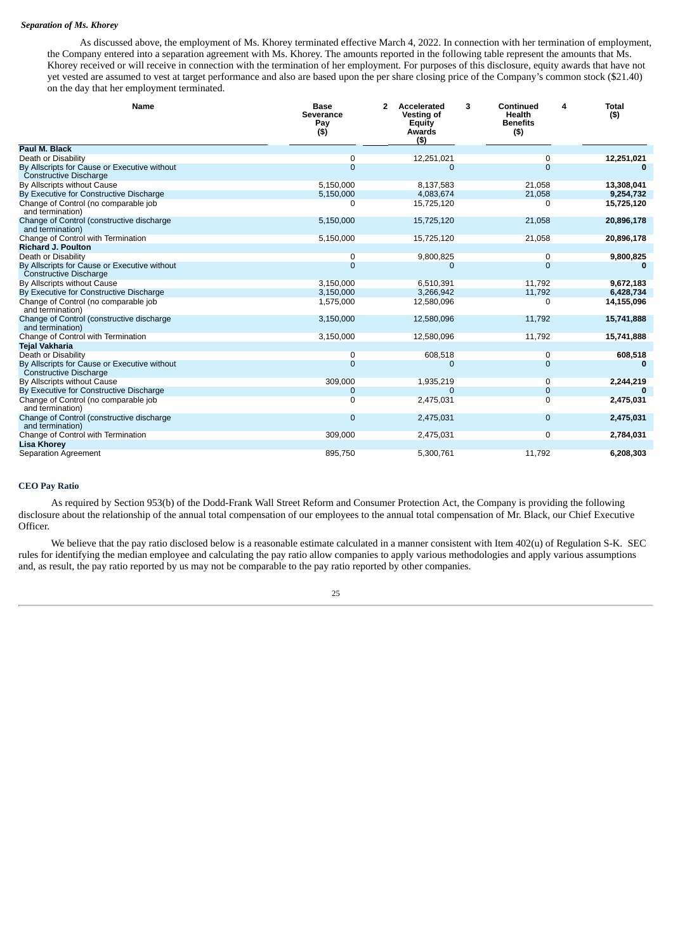#### *Separation of Ms. Khorey*

As discussed above, the employment of Ms. Khorey terminated effective March 4, 2022. In connection with her termination of employment, the Company entered into a separation agreement with Ms. Khorey. The amounts reported in the following table represent the amounts that Ms. Khorey received or will receive in connection with the termination of her employment. For purposes of this disclosure, equity awards that have not yet vested are assumed to vest at target performance and also are based upon the per share closing price of the Company's common stock (\$21.40) on the day that her employment terminated.

| Name                                                                          | <b>Base</b><br><b>Severance</b><br>Pay<br>$($ \$) | $\overline{2}$<br>Accelerated<br>Vesting of<br>Equity<br>Awards<br>(5) | 3<br>Continued<br>Health<br><b>Benefits</b><br>$($ \$) | <b>Total</b><br>4<br>$($ \$) |
|-------------------------------------------------------------------------------|---------------------------------------------------|------------------------------------------------------------------------|--------------------------------------------------------|------------------------------|
| Paul M. Black                                                                 |                                                   |                                                                        |                                                        |                              |
| Death or Disability                                                           | 0                                                 | 12,251,021                                                             | 0                                                      | 12,251,021                   |
| By Allscripts for Cause or Executive without<br>Constructive Discharge        | $\Omega$                                          | 0                                                                      | $\Omega$                                               |                              |
| By Allscripts without Cause                                                   | 5,150,000                                         | 8,137,583                                                              | 21,058                                                 | 13,308,041                   |
| By Executive for Constructive Discharge                                       | 5,150,000                                         | 4,083,674                                                              | 21,058                                                 | 9,254,732                    |
| Change of Control (no comparable job<br>and termination)                      | $\Omega$                                          | 15,725,120                                                             | $\Omega$                                               | 15,725,120                   |
| Change of Control (constructive discharge<br>and termination)                 | 5,150,000                                         | 15,725,120                                                             | 21,058                                                 | 20,896,178                   |
| Change of Control with Termination                                            | 5,150,000                                         | 15,725,120                                                             | 21,058                                                 | 20,896,178                   |
| <b>Richard J. Poulton</b>                                                     |                                                   |                                                                        |                                                        |                              |
| Death or Disability                                                           | 0                                                 | 9,800,825                                                              | 0                                                      | 9,800,825                    |
| By Allscripts for Cause or Executive without<br>Constructive Discharge        | 0                                                 | $\mathbf 0$                                                            | $\mathbf 0$                                            | $\bf{0}$                     |
| By Allscripts without Cause                                                   | 3,150,000                                         | 6,510,391                                                              | 11,792                                                 | 9,672,183                    |
| By Executive for Constructive Discharge                                       | 3,150,000                                         | 3,266,942                                                              | 11,792                                                 | 6,428,734                    |
| Change of Control (no comparable job<br>and termination)                      | 1,575,000                                         | 12,580,096                                                             | $\Omega$                                               | 14,155,096                   |
| Change of Control (constructive discharge<br>and termination)                 | 3,150,000                                         | 12,580,096                                                             | 11,792                                                 | 15,741,888                   |
| Change of Control with Termination                                            | 3,150,000                                         | 12,580,096                                                             | 11,792                                                 | 15,741,888                   |
| <b>Tejal Vakharia</b>                                                         |                                                   |                                                                        |                                                        |                              |
| Death or Disability                                                           | 0                                                 | 608,518                                                                | 0                                                      | 608,518                      |
| By Allscripts for Cause or Executive without<br><b>Constructive Discharge</b> | $\Omega$                                          | 0                                                                      | $\mathbf 0$                                            | 0                            |
| By Allscripts without Cause                                                   | 309,000                                           | 1,935,219                                                              | 0                                                      | 2,244,219                    |
| By Executive for Constructive Discharge                                       | $\mathbf 0$                                       | 0                                                                      | $\mathbf 0$                                            | $\Omega$                     |
| Change of Control (no comparable job<br>and termination)                      | $\Omega$                                          | 2,475,031                                                              | $\overline{0}$                                         | 2,475,031                    |
| Change of Control (constructive discharge<br>and termination)                 | $\mathbf 0$                                       | 2,475,031                                                              | $\mathbf 0$                                            | 2,475,031                    |
| Change of Control with Termination                                            | 309,000                                           | 2,475,031                                                              | $\Omega$                                               | 2,784,031                    |
| <b>Lisa Khorey</b>                                                            |                                                   |                                                                        |                                                        |                              |
| Separation Agreement                                                          | 895,750                                           | 5,300,761                                                              | 11,792                                                 | 6,208,303                    |

#### **CEO Pay Ratio**

As required by Section 953(b) of the Dodd-Frank Wall Street Reform and Consumer Protection Act, the Company is providing the following disclosure about the relationship of the annual total compensation of our employees to the annual total compensation of Mr. Black, our Chief Executive Officer.

We believe that the pay ratio disclosed below is a reasonable estimate calculated in a manner consistent with Item 402(u) of Regulation S-K. SEC rules for identifying the median employee and calculating the pay ratio allow companies to apply various methodologies and apply various assumptions and, as result, the pay ratio reported by us may not be comparable to the pay ratio reported by other companies.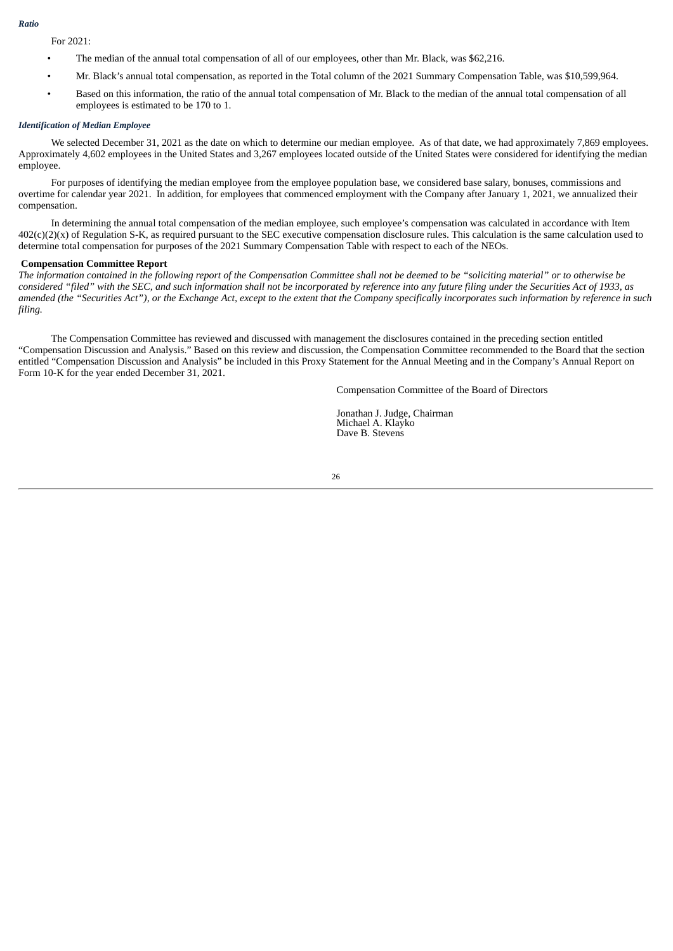#### *Ratio*

For 2021:

- The median of the annual total compensation of all of our employees, other than Mr. Black, was \$62,216.
- Mr. Black's annual total compensation, as reported in the Total column of the 2021 Summary Compensation Table, was \$10,599,964.
- Based on this information, the ratio of the annual total compensation of Mr. Black to the median of the annual total compensation of all employees is estimated to be 170 to 1.

#### *Identification of Median Employee*

We selected December 31, 2021 as the date on which to determine our median employee. As of that date, we had approximately 7,869 employees. Approximately 4,602 employees in the United States and 3,267 employees located outside of the United States were considered for identifying the median employee.

For purposes of identifying the median employee from the employee population base, we considered base salary, bonuses, commissions and overtime for calendar year 2021. In addition, for employees that commenced employment with the Company after January 1, 2021, we annualized their compensation.

In determining the annual total compensation of the median employee, such employee's compensation was calculated in accordance with Item  $402(c)(2)(x)$  of Regulation S-K, as required pursuant to the SEC executive compensation disclosure rules. This calculation is the same calculation used to determine total compensation for purposes of the 2021 Summary Compensation Table with respect to each of the NEOs.

#### **Compensation Committee Report**

The information contained in the following report of the Compensation Committee shall not be deemed to be "soliciting material" or to otherwise be considered "filed" with the SEC, and such information shall not be incorporated by reference into any future filing under the Securities Act of 1933, as amended (the "Securities Act"), or the Exchange Act, except to the extent that the Company specifically incorporates such information by reference in such *filing.*

The Compensation Committee has reviewed and discussed with management the disclosures contained in the preceding section entitled "Compensation Discussion and Analysis." Based on this review and discussion, the Compensation Committee recommended to the Board that the section entitled "Compensation Discussion and Analysis" be included in this Proxy Statement for the Annual Meeting and in the Company's Annual Report on Form 10-K for the year ended December 31, 2021.

Compensation Committee of the Board of Directors

Jonathan J. Judge, Chairman Michael A. Klayko Dave B. Stevens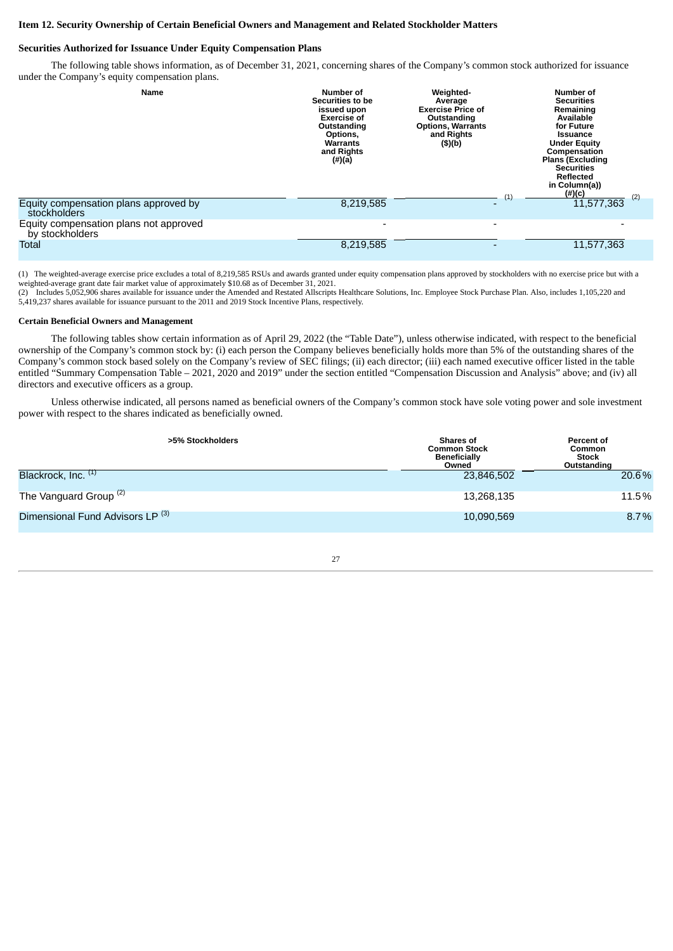#### **Item 12. Security Ownership of Certain Beneficial Owners and Management and Related Stockholder Matters**

#### **Securities Authorized for Issuance Under Equity Compensation Plans**

The following table shows information, as of December 31, 2021, concerning shares of the Company's common stock authorized for issuance under the Company's equity compensation plans.

| <b>Name</b>                                               | Number of<br>Securities to be<br>issued upon<br><b>Exercise of</b><br>Outstanding<br>Options,<br>Warrants<br>and Rights<br>$(\#)(a)$ | Weighted-<br>Average<br><b>Exercise Price of</b><br>Outstanding<br><b>Options, Warrants</b><br>and Rights<br>(5)(b) |                          | <b>Number of</b><br><b>Securities</b><br>Remaining<br>Available<br>for Future<br><b>Issuance</b><br><b>Under Equity</b><br>Compensation<br><b>Plans (Excluding</b><br><b>Securities</b><br><b>Reflected</b><br>in Column(a))<br>$(\#)(c)$ |
|-----------------------------------------------------------|--------------------------------------------------------------------------------------------------------------------------------------|---------------------------------------------------------------------------------------------------------------------|--------------------------|-------------------------------------------------------------------------------------------------------------------------------------------------------------------------------------------------------------------------------------------|
| Equity compensation plans approved by<br>stockholders     | 8,219,585                                                                                                                            |                                                                                                                     | $\scriptstyle{(1)}$      | (2)<br>11,577,363                                                                                                                                                                                                                         |
| Equity compensation plans not approved<br>by stockholders | $\overline{\phantom{0}}$                                                                                                             |                                                                                                                     | $\overline{\phantom{0}}$ |                                                                                                                                                                                                                                           |
| Total                                                     | 8,219,585                                                                                                                            |                                                                                                                     |                          | 11,577,363                                                                                                                                                                                                                                |

(1) The weighted-average exercise price excludes a total of 8,219,585 RSUs and awards granted under equity compensation plans approved by stockholders with no exercise price but with a weighted-average grant date fair market value of approximately \$10.68 as of December 31, 2021.

(2) Includes 5,052,906 shares available for issuance under the Amended and Restated Allscripts Healthcare Solutions, Inc. Employee Stock Purchase Plan. Also, includes 1,105,220 and 5,419,237 shares available for issuance pursuant to the 2011 and 2019 Stock Incentive Plans, respectively.

#### **Certain Beneficial Owners and Management**

The following tables show certain information as of April 29, 2022 (the "Table Date"), unless otherwise indicated, with respect to the beneficial ownership of the Company's common stock by: (i) each person the Company believes beneficially holds more than 5% of the outstanding shares of the Company's common stock based solely on the Company's review of SEC filings; (ii) each director; (iii) each named executive officer listed in the table entitled "Summary Compensation Table – 2021, 2020 and 2019" under the section entitled "Compensation Discussion and Analysis" above; and (iv) all directors and executive officers as a group.

Unless otherwise indicated, all persons named as beneficial owners of the Company's common stock have sole voting power and sole investment power with respect to the shares indicated as beneficially owned.

| >5% Stockholders                            | <b>Shares of</b><br><b>Common Stock</b><br><b>Beneficially</b><br>Owned | Percent of<br>Common<br><b>Stock</b><br>Outstanding |
|---------------------------------------------|-------------------------------------------------------------------------|-----------------------------------------------------|
| Blackrock, Inc. (1)                         | 23.846.502                                                              | 20.6%                                               |
| The Vanguard Group $(2)$                    | 13,268,135                                                              | 11.5%                                               |
| Dimensional Fund Advisors LP <sup>(3)</sup> | 10,090,569                                                              | 8.7%                                                |

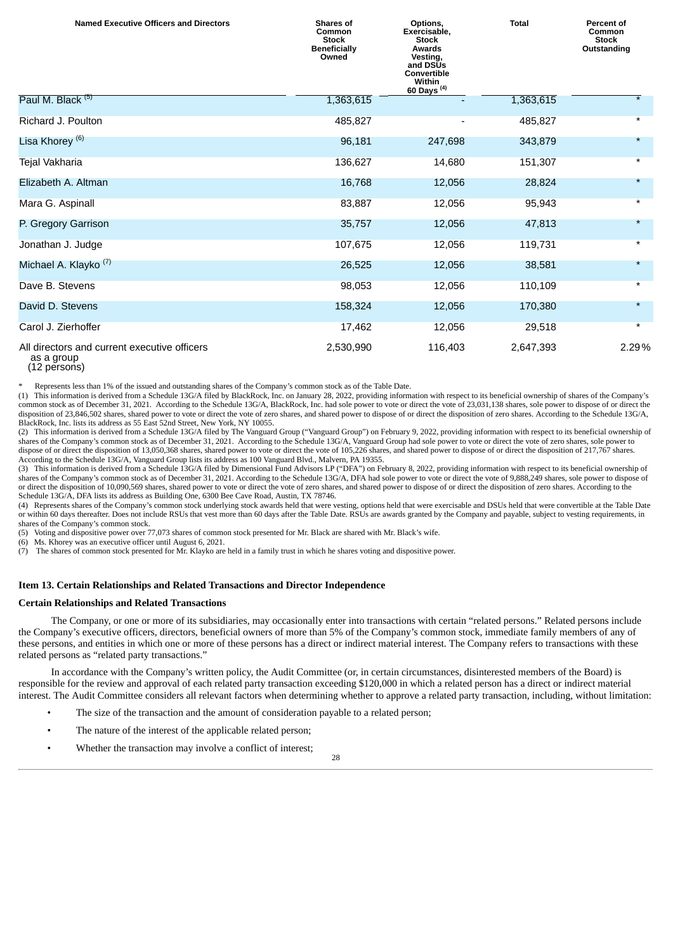| <b>Named Executive Officers and Directors</b>              | <b>Shares of</b><br>Common<br><b>Stock</b><br><b>Beneficially</b><br>Owned | Options,<br>Exercisable,<br><b>Stock</b><br><b>Awards</b><br>Vesting,<br>and DSUs<br>Convertible<br>Within<br>60 Days <sup>(4)</sup> | <b>Total</b> | Percent of<br>Common<br><b>Stock</b><br>Outstanding |
|------------------------------------------------------------|----------------------------------------------------------------------------|--------------------------------------------------------------------------------------------------------------------------------------|--------------|-----------------------------------------------------|
| Paul M. Black <sup>(5)</sup>                               | 1,363,615                                                                  |                                                                                                                                      | 1,363,615    | $\overline{\ast}$                                   |
| Richard J. Poulton                                         | 485,827                                                                    |                                                                                                                                      | 485,827      | $^\star$                                            |
| Lisa Khorey <sup>(6)</sup>                                 | 96,181                                                                     | 247,698                                                                                                                              | 343,879      | $\star$                                             |
| Tejal Vakharia                                             | 136,627                                                                    | 14,680                                                                                                                               | 151,307      | $\star$                                             |
| Elizabeth A. Altman                                        | 16,768                                                                     | 12,056                                                                                                                               | 28,824       | $\star$                                             |
| Mara G. Aspinall                                           | 83,887                                                                     | 12,056                                                                                                                               | 95,943       | $\star$                                             |
| P. Gregory Garrison                                        | 35,757                                                                     | 12,056                                                                                                                               | 47,813       | $\star$                                             |
| Jonathan J. Judge                                          | 107,675                                                                    | 12,056                                                                                                                               | 119,731      | $\star$                                             |
| Michael A. Klayko <sup>(7)</sup>                           | 26,525                                                                     | 12,056                                                                                                                               | 38,581       | $\star$                                             |
| Dave B. Stevens                                            | 98,053                                                                     | 12,056                                                                                                                               | 110,109      | $^\star$                                            |
| David D. Stevens                                           | 158,324                                                                    | 12,056                                                                                                                               | 170,380      | $\star$                                             |
| Carol J. Zierhoffer                                        | 17,462                                                                     | 12,056                                                                                                                               | 29,518       | $\star$                                             |
| All directors and current executive officers<br>as a group | 2,530,990                                                                  | 116,403                                                                                                                              | 2,647,393    | 2.29%                                               |

<sup>(12</sup> persons)

\* Represents less than 1% of the issued and outstanding shares of the Company's common stock as of the Table Date.

(1) This information is derived from a Schedule 13G/A filed by BlackRock, Inc. on January 28, 2022, providing information with respect to its beneficial ownership of shares of the Company's common stock as of December 31, 2021. According to the Schedule 13G/A, BlackRock, Inc. had sole power to vote or direct the vote of 23,031,138 shares, sole power to dispose of or direct the disposition of 23,846,502 shares, shared power to vote or direct the vote of zero shares, and shared power to dispose of or direct the disposition of zero shares. According to the Schedule 13G/A, BlackRock, Inc. lists its address as 55 East 52nd Street, New York, NY 10055.

(2) This information is derived from a Schedule 13G/A filed by The Vanguard Group ("Vanguard Group") on February 9, 2022, providing information with respect to its beneficial ownership of shares of the Company's common stock as of December 31, 2021. According to the Schedule 13G/A, Vanguard Group had sole power to vote or direct the vote of zero shares, sole power to dispose of or direct the disposition of 13,050,368 shares, shared power to vote or direct the vote of 105,226 shares, and shared power to dispose of or direct the disposition of 217,767 shares. According to the Schedule 13G/A, Vanguard Group lists its address as 100 Vanguard Blvd., Malvern, PA 19355.

(3) This information is derived from a Schedule 13G/A filed by Dimensional Fund Advisors LP ("DFA") on February 8, 2022, providing information with respect to its beneficial ownership of shares of the Company's common stock as of December 31, 2021. According to the Schedule 13G/A, DFA had sole power to vote or direct the vote of 9,888,249 shares, sole power to dispose of or direct the disposition of 10,090,569 shares, shared power to vote or direct the vote of zero shares, and shared power to dispose of or direct the disposition of zero shares. According to the Schedule 13G/A, DFA lists its address as Building One, 6300 Bee Cave Road, Austin, TX 78746.

(4) Represents shares of the Company's common stock underlying stock awards held that were vesting, options held that were exercisable and DSUs held that were convertible at the Table Date or within 60 days thereafter. Does not include RSUs that vest more than 60 days after the Table Date. RSUs are awards granted by the Company and payable, subject to vesting requirements, in shares of the Company's common stock.

(5) Voting and dispositive power over 77,073 shares of common stock presented for Mr. Black are shared with Mr. Black's wife.

(6) Ms. Khorey was an executive officer until August 6, 2021.

(7) The shares of common stock presented for Mr. Klayko are held in a family trust in which he shares voting and dispositive power.

#### **Item 13. Certain Relationships and Related Transactions and Director Independence**

#### **Certain Relationships and Related Transactions**

The Company, or one or more of its subsidiaries, may occasionally enter into transactions with certain "related persons." Related persons include the Company's executive officers, directors, beneficial owners of more than 5% of the Company's common stock, immediate family members of any of these persons, and entities in which one or more of these persons has a direct or indirect material interest. The Company refers to transactions with these related persons as "related party transactions."

In accordance with the Company's written policy, the Audit Committee (or, in certain circumstances, disinterested members of the Board) is responsible for the review and approval of each related party transaction exceeding \$120,000 in which a related person has a direct or indirect material interest. The Audit Committee considers all relevant factors when determining whether to approve a related party transaction, including, without limitation:

- The size of the transaction and the amount of consideration payable to a related person;
- The nature of the interest of the applicable related person;
- Whether the transaction may involve a conflict of interest;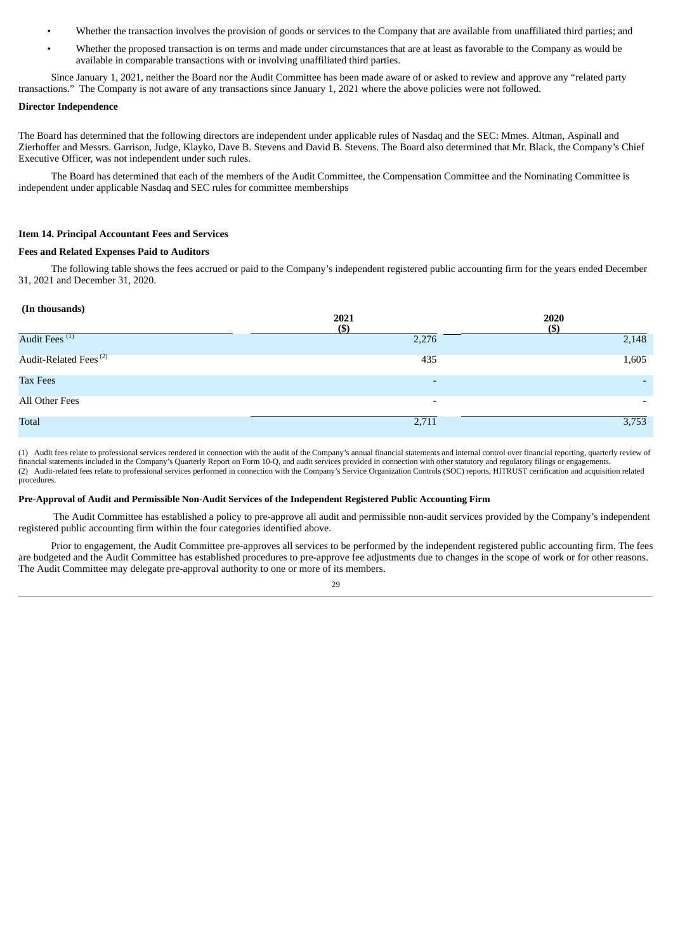- Whether the transaction involves the provision of goods or services to the Company that are available from unaffiliated third parties; and
- Whether the proposed transaction is on terms and made under circumstances that are at least as favorable to the Company as would be available in comparable transactions with or involving unaffiliated third parties.

Since January 1, 2021, neither the Board nor the Audit Committee has been made aware of or asked to review and approve any "related party transactions." The Company is not aware of any transactions since January 1, 2021 where the above policies were not followed.

#### **Director Independence**

The Board has determined that the following directors are independent under applicable rules of Nasdaq and the SEC: Mmes. Altman, Aspinall and Zierhoffer and Messrs. Garrison, Judge, Klayko, Dave B. Stevens and David B. Stevens. The Board also determined that Mr. Black, the Company's Chief Executive Officer, was not independent under such rules.

The Board has determined that each of the members of the Audit Committee, the Compensation Committee and the Nominating Committee is independent under applicable Nasdaq and SEC rules for committee memberships

#### **Item 14. Principal Accountant Fees and Services**

#### **Fees and Related Expenses Paid to Auditors**

The following table shows the fees accrued or paid to the Company's independent registered public accounting firm for the years ended December 31, 2021 and December 31, 2020.

#### **(In thousands)**

| $\sim$<br>$\overline{\phantom{a}}$ | 2021<br>$($ \$           | 2020<br>(\$)             |
|------------------------------------|--------------------------|--------------------------|
| Audit Fees <sup>(1)</sup>          | 2,276                    | 2,148                    |
| Audit-Related Fees <sup>(2)</sup>  | 435                      | 1,605                    |
| <b>Tax Fees</b>                    | $\overline{\phantom{a}}$ | $\overline{\phantom{0}}$ |
| All Other Fees                     | $\overline{\phantom{0}}$ |                          |
| <b>Total</b>                       | 2,711                    | 3,753                    |

(1) Audit fees relate to professional services rendered in connection with the audit of the Company's annual financial statements and internal control over financial reporting, quarterly review of financial statements included in the Company's Quarterly Report on Form 10-Q, and audit services provided in connection with other statutory and regulatory filings or engagements. (2) Audit-related fees relate to professional services performed in connection with the Company's Service Organization Controls (SOC) reports, HITRUST certification and acquisition related procedures.

#### **Pre-Approval of Audit and Permissible Non-Audit Services of the Independent Registered Public Accounting Firm**

The Audit Committee has established a policy to pre-approve all audit and permissible non-audit services provided by the Company's independent registered public accounting firm within the four categories identified above.

Prior to engagement, the Audit Committee pre-approves all services to be performed by the independent registered public accounting firm. The fees are budgeted and the Audit Committee has established procedures to pre-approve fee adjustments due to changes in the scope of work or for other reasons. The Audit Committee may delegate pre-approval authority to one or more of its members.

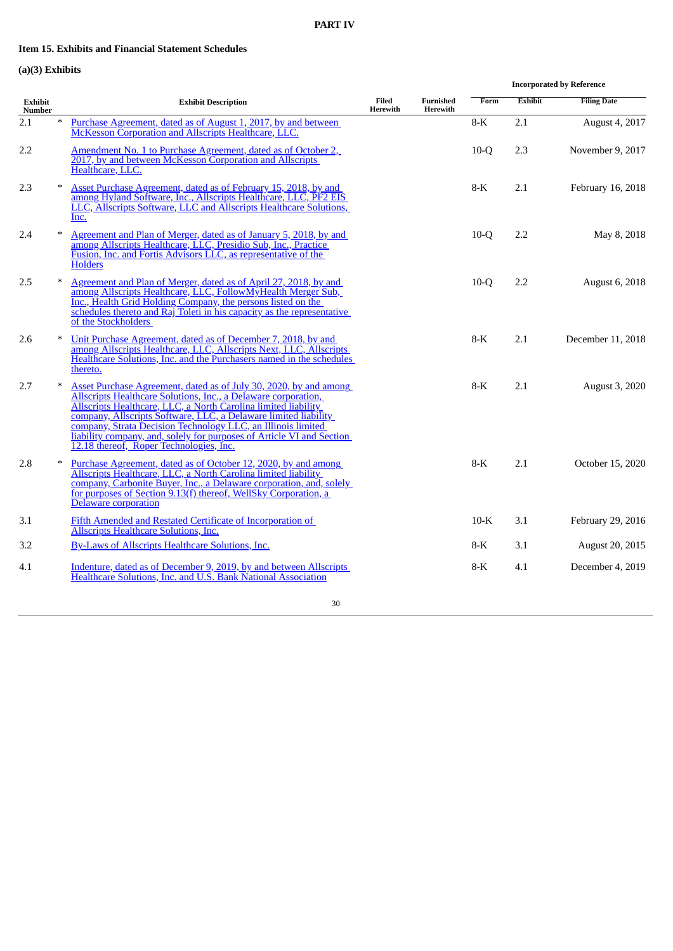## **PART IV**

# **Item 15. Exhibits and Financial Statement Schedules**

# **(a)(3) Exhibits**

|                   |        |                                                                                                                                                                                                                                                                                                                                                                                                                                                              |                   |                       |        |                | <b>Incorporated by Reference</b> |
|-------------------|--------|--------------------------------------------------------------------------------------------------------------------------------------------------------------------------------------------------------------------------------------------------------------------------------------------------------------------------------------------------------------------------------------------------------------------------------------------------------------|-------------------|-----------------------|--------|----------------|----------------------------------|
| Exhibit<br>Number |        | <b>Exhibit Description</b>                                                                                                                                                                                                                                                                                                                                                                                                                                   | Filed<br>Herewith | Furnished<br>Herewith | Form   | <b>Exhibit</b> | <b>Filing Date</b>               |
| 2.1               | $\ast$ | Purchase Agreement, dated as of August 1, 2017, by and between<br>McKesson Corporation and Allscripts Healthcare, LLC.                                                                                                                                                                                                                                                                                                                                       |                   |                       | $8-K$  | 2.1            | August 4, 2017                   |
| 2.2               |        | Amendment No. 1 to Purchase Agreement, dated as of October 2,<br>2017, by and between McKesson Corporation and Allscripts<br>Healthcare, LLC.                                                                                                                                                                                                                                                                                                                |                   |                       | $10-Q$ | 2.3            | November 9, 2017                 |
| 2.3               | $\ast$ | Asset Purchase Agreement, dated as of February 15, 2018, by and<br>among Hyland Software, Inc., Allscripts Healthcare, LLC, PF2 EIS<br>LLC, Allscripts Software, LLC and Allscripts Healthcare Solutions,<br>Inc.                                                                                                                                                                                                                                            |                   |                       | $8-K$  | 2.1            | February 16, 2018                |
| 2.4               |        | Agreement and Plan of Merger, dated as of January 5, 2018, by and<br>among Allscripts Healthcare, LLC, Presidio Sub, Inc., Practice<br>Fusion, Inc. and Fortis Advisors LLC, as representative of the<br><b>Holders</b>                                                                                                                                                                                                                                      |                   |                       | $10-Q$ | 2.2            | May 8, 2018                      |
| 2.5               |        | Agreement and Plan of Merger, dated as of April 27, 2018, by and<br>among Allscripts Healthcare, LLC, FollowMyHealth Merger Sub,<br>Inc., Health Grid Holding Company, the persons listed on the<br>schedules thereto and Raj Toleti in his capacity as the representative<br>of the Stockholders                                                                                                                                                            |                   |                       | $10-Q$ | 2.2            | August 6, 2018                   |
| 2.6               |        | Unit Purchase Agreement, dated as of December 7, 2018, by and<br>among Allscripts Healthcare, LLC, Allscripts Next, LLC, Allscripts<br>Healthcare Solutions, Inc. and the Purchasers named in the schedules<br>thereto.                                                                                                                                                                                                                                      |                   |                       | $8-K$  | 2.1            | December 11, 2018                |
| 2.7               |        | Asset Purchase Agreement, dated as of July 30, 2020, by and among<br>Allscripts Healthcare Solutions, Inc., a Delaware corporation,<br>Allscripts Healthcare, LLC, a North Carolina limited liability<br>company, Allscripts Software, LLC, a Delaware limited liability<br>company, Strata Decision Technology LLC, an Illinois limited<br>liability company, and, solely for purposes of Article VI and Section<br>12.18 thereof, Roper Technologies, Inc. |                   |                       | $8-K$  | 2.1            | <b>August 3, 2020</b>            |
| 2.8               |        | Purchase Agreement, dated as of October 12, 2020, by and among<br>Allscripts Healthcare, LLC, a North Carolina limited liability<br>company, Carbonite Buyer, Inc., a Delaware corporation, and, solely<br>for purposes of Section 9.13(f) thereof, WellSky Corporation, a<br>Delaware corporation                                                                                                                                                           |                   |                       | $8-K$  | 2.1            | October 15, 2020                 |
| 3.1               |        | Fifth Amended and Restated Certificate of Incorporation of<br><b>Allscripts Healthcare Solutions, Inc.</b>                                                                                                                                                                                                                                                                                                                                                   |                   |                       | $10-K$ | 3.1            | February 29, 2016                |
| 3.2               |        | <b>By-Laws of Allscripts Healthcare Solutions, Inc.</b>                                                                                                                                                                                                                                                                                                                                                                                                      |                   |                       | 8-K    | 3.1            | August 20, 2015                  |
| 4.1               |        | Indenture, dated as of December 9, 2019, by and between Allscripts<br>Healthcare Solutions, Inc. and U.S. Bank National Association                                                                                                                                                                                                                                                                                                                          |                   |                       | $8-K$  | 4.1            | December 4, 2019                 |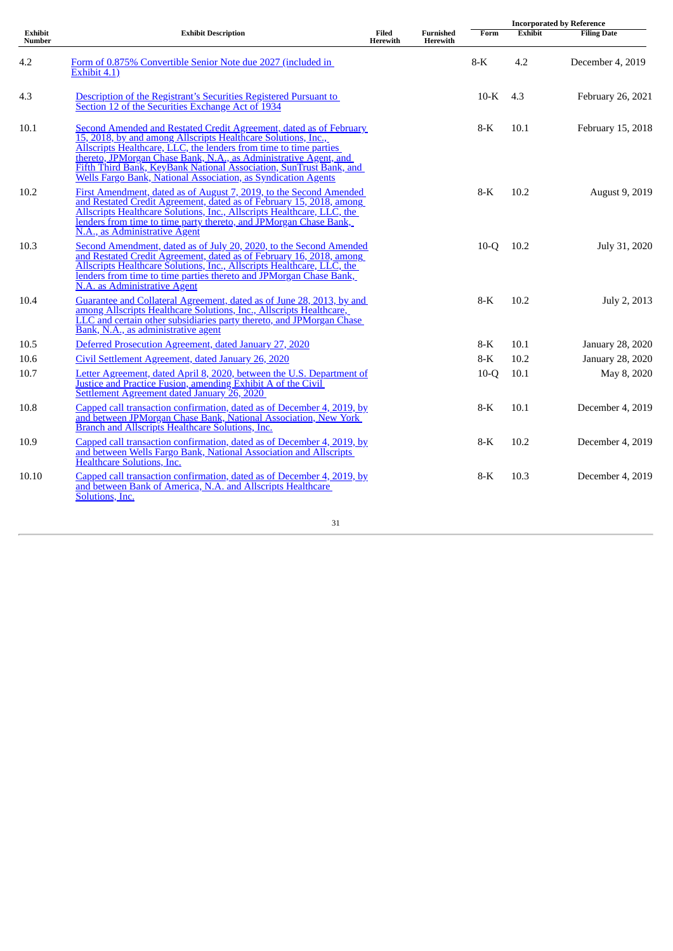|                   |                                                                                                                                                                                                                                                                                                                                                                                                                     |                          |                              | <b>Incorporated by Reference</b> |         |                    |  |
|-------------------|---------------------------------------------------------------------------------------------------------------------------------------------------------------------------------------------------------------------------------------------------------------------------------------------------------------------------------------------------------------------------------------------------------------------|--------------------------|------------------------------|----------------------------------|---------|--------------------|--|
| Exhibit<br>Number | <b>Exhibit Description</b>                                                                                                                                                                                                                                                                                                                                                                                          | Filed<br><b>Herewith</b> | <b>Furnished</b><br>Herewith | Form                             | Exhibit | <b>Filing Date</b> |  |
| 4.2               | Form of 0.875% Convertible Senior Note due 2027 (included in<br>Exhibit 4.1)                                                                                                                                                                                                                                                                                                                                        |                          |                              | $8-K$                            | 4.2     | December 4, 2019   |  |
| 4.3               | Description of the Registrant's Securities Registered Pursuant to<br>Section 12 of the Securities Exchange Act of 1934                                                                                                                                                                                                                                                                                              |                          |                              | $10-K$                           | 4.3     | February 26, 2021  |  |
| 10.1              | Second Amended and Restated Credit Agreement, dated as of February<br>15, 2018, by and among Allscripts Healthcare Solutions, Inc.,<br>Allscripts Healthcare, LLC, the lenders from time to time parties<br>thereto, JPMorgan Chase Bank, N.A., as Administrative Agent, and<br>Fifth Third Bank, KeyBank National Association, SunTrust Bank, and<br>Wells Fargo Bank, National Association, as Syndication Agents |                          |                              | $8-K$                            | 10.1    | February 15, 2018  |  |
| 10.2              | First Amendment, dated as of August 7, 2019, to the Second Amended<br>and Restated Credit Agreement, dated as of February 15, 2018, among<br>Allscripts Healthcare Solutions, Inc., Allscripts Healthcare, LLC, the<br>lenders from time to time party thereto, and JPMorgan Chase Bank,<br>N.A., as Administrative Agent                                                                                           |                          |                              | $8-K$                            | 10.2    | August 9, 2019     |  |
| 10.3              | Second Amendment, dated as of July 20, 2020, to the Second Amended<br>and Restated Credit Agreement, dated as of February 16, 2018, among<br>Allscripts Healthcare Solutions, Inc., Allscripts Healthcare, LLC, the<br>lenders from time to time parties thereto and JPMorgan Chase Bank,<br>N.A. as Administrative Agent                                                                                           |                          |                              | $10-Q$                           | 10.2    | July 31, 2020      |  |
| 10.4              | Guarantee and Collateral Agreement, dated as of June 28, 2013, by and<br>among Allscripts Healthcare Solutions, Inc., Allscripts Healthcare,<br>LLC and certain other subsidiaries party thereto, and JPMorgan Chase<br>Bank, N.A., as administrative agent                                                                                                                                                         |                          |                              | $8-K$                            | 10.2    | July 2, 2013       |  |
| 10.5              | Deferred Prosecution Agreement, dated January 27, 2020                                                                                                                                                                                                                                                                                                                                                              |                          |                              | $8-K$                            | 10.1    | January 28, 2020   |  |
| 10.6              | Civil Settlement Agreement, dated January 26, 2020                                                                                                                                                                                                                                                                                                                                                                  |                          |                              | $8-K$                            | 10.2    | January 28, 2020   |  |
| 10.7              | Letter Agreement, dated April 8, 2020, between the U.S. Department of<br>Justice and Practice Fusion, amending Exhibit A of the Civil<br>Settlement Agreement dated January 26, 2020                                                                                                                                                                                                                                |                          |                              | $10-Q$                           | 10.1    | May 8, 2020        |  |
| 10.8              | Capped call transaction confirmation, dated as of December 4, 2019, by<br>and between JPMorgan Chase Bank, National Association, New York<br>Branch and Allscripts Healthcare Solutions, Inc.                                                                                                                                                                                                                       |                          |                              | $8-K$                            | 10.1    | December 4, 2019   |  |
| 10.9              | Capped call transaction confirmation, dated as of December 4, 2019, by<br>and between Wells Fargo Bank, National Association and Allscripts<br>Healthcare Solutions, Inc.                                                                                                                                                                                                                                           |                          |                              | $8-K$                            | 10.2    | December 4, 2019   |  |
| 10.10             | Capped call transaction confirmation, dated as of December 4, 2019, by<br>and between Bank of America, N.A. and Allscripts Healthcare<br>Solutions, Inc.                                                                                                                                                                                                                                                            |                          |                              | $8-K$                            | 10.3    | December 4, 2019   |  |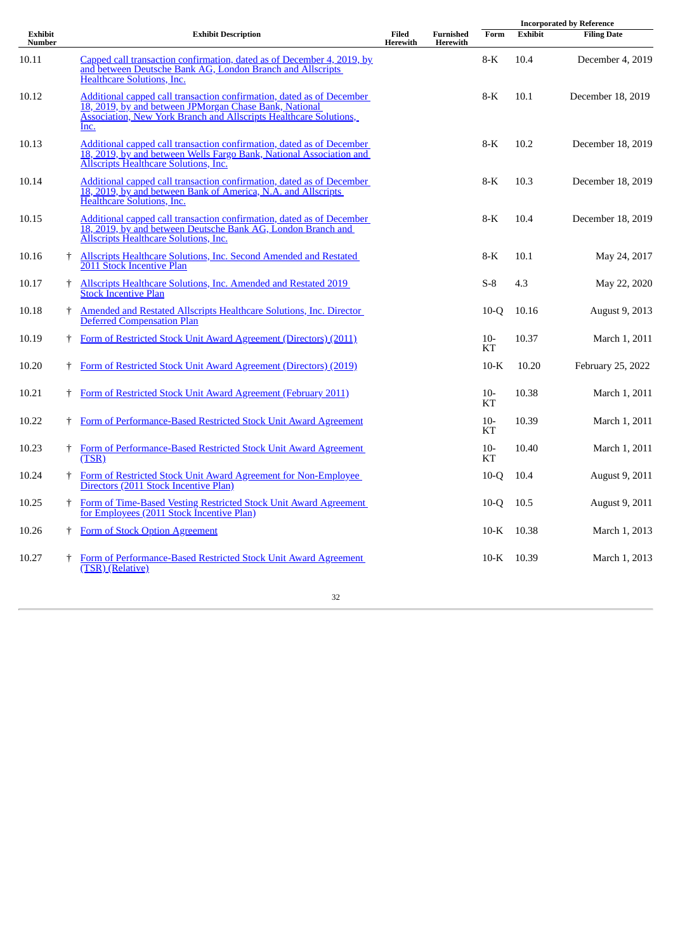|                   |    |                                                                                                                                                                                                              |                   |                       | <b>Incorporated by Reference</b> |                |                       |  |
|-------------------|----|--------------------------------------------------------------------------------------------------------------------------------------------------------------------------------------------------------------|-------------------|-----------------------|----------------------------------|----------------|-----------------------|--|
| Exhibit<br>Number |    | <b>Exhibit Description</b>                                                                                                                                                                                   | Filed<br>Herewith | Furnished<br>Herewith | Form                             | <b>Exhibit</b> | <b>Filing Date</b>    |  |
| 10.11             |    | Capped call transaction confirmation, dated as of December 4, 2019, by<br>and between Deutsche Bank AG, London Branch and Allscripts<br><b>Healthcare Solutions, Inc.</b>                                    |                   |                       | $8-K$                            | 10.4           | December 4, 2019      |  |
| 10.12             |    | Additional capped call transaction confirmation, dated as of December<br>18, 2019, by and between JPMorgan Chase Bank, National<br>Association, New York Branch and Allscripts Healthcare Solutions,<br>Inc. |                   |                       | $8-K$                            | 10.1           | December 18, 2019     |  |
| 10.13             |    | Additional capped call transaction confirmation, dated as of December<br>18, 2019, by and between Wells Fargo Bank, National Association and<br><b>Allscripts Healthcare Solutions, Inc.</b>                 |                   |                       | $8-K$                            | 10.2           | December 18, 2019     |  |
| 10.14             |    | Additional capped call transaction confirmation, dated as of December<br>18, 2019, by and between Bank of America, N.A. and Allscripts<br>Healthcare Solutions, Inc.                                         |                   |                       | $8-K$                            | 10.3           | December 18, 2019     |  |
| 10.15             |    | Additional capped call transaction confirmation, dated as of December<br>18, 2019, by and between Deutsche Bank AG, London Branch and<br>Allscripts Healthcare Solutions, Inc.                               |                   |                       | $8-K$                            | 10.4           | December 18, 2019     |  |
| 10.16             | t  | <b>Allscripts Healthcare Solutions, Inc. Second Amended and Restated</b><br>2011 Stock Incentive Plan                                                                                                        |                   |                       | $8-K$                            | 10.1           | May 24, 2017          |  |
| 10.17             | Ť. | Allscripts Healthcare Solutions, Inc. Amended and Restated 2019<br><b>Stock Incentive Plan</b>                                                                                                               |                   |                       | $S-8$                            | 4.3            | May 22, 2020          |  |
| 10.18             | Ť. | Amended and Restated Allscripts Healthcare Solutions, Inc. Director<br><b>Deferred Compensation Plan</b>                                                                                                     |                   |                       | $10-Q$                           | 10.16          | August 9, 2013        |  |
| 10.19             | Ť  | Form of Restricted Stock Unit Award Agreement (Directors) (2011)                                                                                                                                             |                   |                       | $10-$<br><b>KT</b>               | 10.37          | March 1, 2011         |  |
| 10.20             | t  | Form of Restricted Stock Unit Award Agreement (Directors) (2019)                                                                                                                                             |                   |                       | $10-K$                           | 10.20          | February 25, 2022     |  |
| 10.21             | t  | Form of Restricted Stock Unit Award Agreement (February 2011)                                                                                                                                                |                   |                       | $10-$<br>KT                      | 10.38          | March 1, 2011         |  |
| 10.22             |    | Form of Performance-Based Restricted Stock Unit Award Agreement                                                                                                                                              |                   |                       | $10-$<br><b>KT</b>               | 10.39          | March 1, 2011         |  |
| 10.23             | ŧ. | Form of Performance-Based Restricted Stock Unit Award Agreement<br>(TSR)                                                                                                                                     |                   |                       | $10-$<br><b>KT</b>               | 10.40          | March 1, 2011         |  |
| 10.24             |    | Form of Restricted Stock Unit Award Agreement for Non-Employee<br>Directors (2011 Stock Incentive Plan)                                                                                                      |                   |                       | $10-Q$                           | 10.4           | August 9, 2011        |  |
| 10.25             | ŧ. | Form of Time-Based Vesting Restricted Stock Unit Award Agreement<br>for Employees (2011 Stock Incentive Plan)                                                                                                |                   |                       | $10-Q$                           | 10.5           | <b>August 9, 2011</b> |  |
| 10.26             | Ť. | Form of Stock Option Agreement                                                                                                                                                                               |                   |                       | $10\text{-K}$                    | 10.38          | March 1, 2013         |  |
| 10.27             |    | Form of Performance-Based Restricted Stock Unit Award Agreement<br>(TSR) (Relative)                                                                                                                          |                   |                       | $10\text{-K}$                    | 10.39          | March 1, 2013         |  |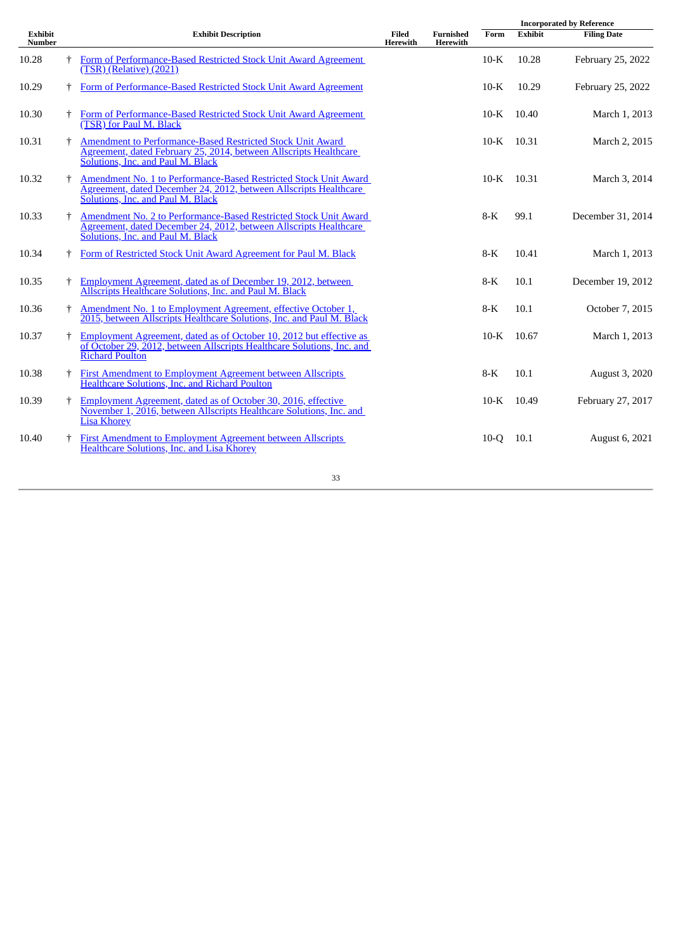|                          |                                                                                                                                                                                         |                   |                       |               |                | <b>Incorporated by Reference</b> |
|--------------------------|-----------------------------------------------------------------------------------------------------------------------------------------------------------------------------------------|-------------------|-----------------------|---------------|----------------|----------------------------------|
| <b>Exhibit</b><br>Number | <b>Exhibit Description</b>                                                                                                                                                              | Filed<br>Herewith | Furnished<br>Herewith | Form          | <b>Exhibit</b> | <b>Filing Date</b>               |
| 10.28                    | <sup>†</sup> Form of Performance-Based Restricted Stock Unit Award Agreement<br>(TSR) (Relative) (2021)                                                                                 |                   |                       | $10-K$        | 10.28          | February 25, 2022                |
| 10.29                    | Form of Performance-Based Restricted Stock Unit Award Agreement                                                                                                                         |                   |                       | $10-K$        | 10.29          | February 25, 2022                |
| 10.30                    | Form of Performance-Based Restricted Stock Unit Award Agreement<br>(TSR) for Paul M. Black                                                                                              |                   |                       | $10\text{-K}$ | 10.40          | March 1, 2013                    |
| 10.31                    | <sup>†</sup> Amendment to Performance-Based Restricted Stock Unit Award<br>Agreement, dated February 25, 2014, between Allscripts Healthcare<br>Solutions, Inc. and Paul M. Black       |                   |                       | 10-K 10.31    |                | March 2, 2015                    |
| 10.32                    | Amendment No. 1 to Performance-Based Restricted Stock Unit Award<br>Agreement, dated December 24, 2012, between Allscripts Healthcare<br>Solutions, Inc. and Paul M. Black              |                   |                       | $10\text{-K}$ | 10.31          | March 3, 2014                    |
| 10.33                    | <sup>†</sup> Amendment No. 2 to Performance-Based Restricted Stock Unit Award<br>Agreement, dated December 24, 2012, between Allscripts Healthcare<br>Solutions, Inc. and Paul M. Black |                   |                       | $8-K$         | 99.1           | December 31, 2014                |
| 10.34                    | Form of Restricted Stock Unit Award Agreement for Paul M. Black                                                                                                                         |                   |                       | 8-K           | 10.41          | March 1, 2013                    |
| 10.35                    | <b>Employment Agreement, dated as of December 19, 2012, between</b><br><b>Allscripts Healthcare Solutions, Inc. and Paul M. Black</b>                                                   |                   |                       | $8-K$         | 10.1           | December 19, 2012                |
| 10.36                    | Amendment No. 1 to Employment Agreement, effective October 1,<br>2015, between Allscripts Healthcare Solutions, Inc. and Paul M. Black                                                  |                   |                       | $8-K$         | 10.1           | October 7, 2015                  |
| 10.37                    | Employment Agreement, dated as of October 10, 2012 but effective as<br>of October 29, 2012, between Allscripts Healthcare Solutions, Inc. and<br><b>Richard Poulton</b>                 |                   |                       | $10\text{-K}$ | 10.67          | March 1, 2013                    |
| 10.38                    | <b>First Amendment to Employment Agreement between Allscripts</b><br>Healthcare Solutions, Inc. and Richard Poulton                                                                     |                   |                       | $8-K$         | 10.1           | August 3, 2020                   |
| 10.39                    | <sup>†</sup> Employment Agreement, dated as of October 30, 2016, effective<br>November 1, 2016, between Allscripts Healthcare Solutions, Inc. and<br><b>Lisa Khorey</b>                 |                   |                       | $10\text{-K}$ | 10.49          | February 27, 2017                |
| 10.40                    | <b>First Amendment to Employment Agreement between Allscripts</b><br><b>Healthcare Solutions, Inc. and Lisa Khorey</b>                                                                  |                   |                       | $10-Q$        | 10.1           | August 6, 2021                   |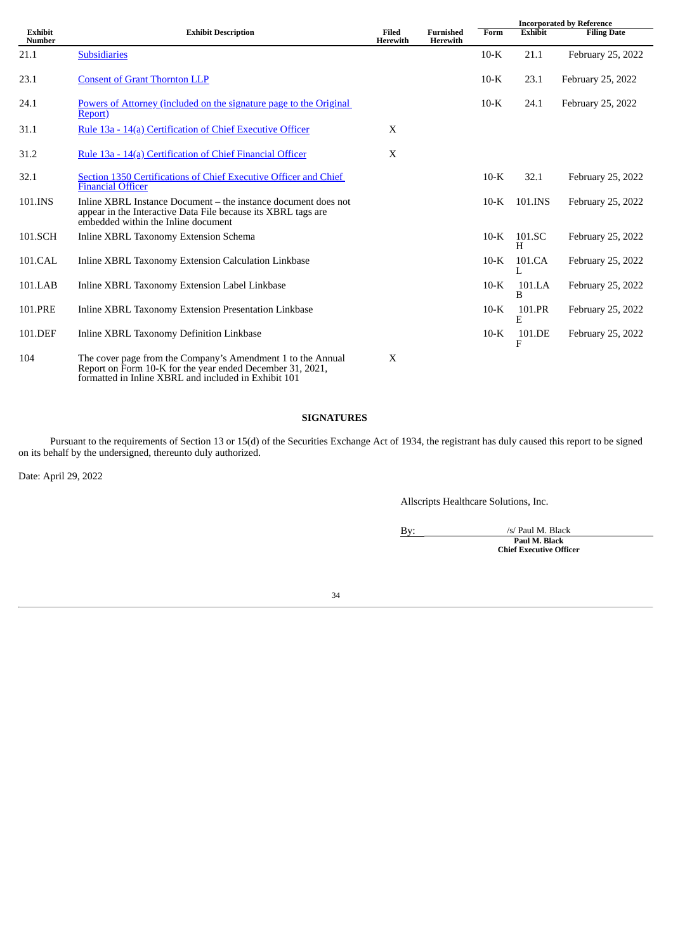|                                 |                                                                                                                                                                                  |                          |                              | <b>Incorporated by Reference</b> |                |                    |  |
|---------------------------------|----------------------------------------------------------------------------------------------------------------------------------------------------------------------------------|--------------------------|------------------------------|----------------------------------|----------------|--------------------|--|
| <b>Exhibit</b><br><b>Number</b> | <b>Exhibit Description</b>                                                                                                                                                       | Filed<br><b>Herewith</b> | <b>Furnished</b><br>Herewith | Form                             | <b>Exhibit</b> | <b>Filing Date</b> |  |
| 21.1                            | <b>Subsidiaries</b>                                                                                                                                                              |                          |                              | $10-K$                           | 21.1           | February 25, 2022  |  |
| 23.1                            | <b>Consent of Grant Thornton LLP</b>                                                                                                                                             |                          |                              | $10-K$                           | 23.1           | February 25, 2022  |  |
| 24.1                            | Powers of Attorney (included on the signature page to the Original<br>Report)                                                                                                    |                          |                              | $10-K$                           | 24.1           | February 25, 2022  |  |
| 31.1                            | Rule 13a - 14(a) Certification of Chief Executive Officer                                                                                                                        | X                        |                              |                                  |                |                    |  |
| 31.2                            | Rule 13a - 14(a) Certification of Chief Financial Officer                                                                                                                        | X                        |                              |                                  |                |                    |  |
| 32.1                            | Section 1350 Certifications of Chief Executive Officer and Chief<br><b>Financial Officer</b>                                                                                     |                          |                              | $10-K$                           | 32.1           | February 25, 2022  |  |
| 101.INS                         | Inline XBRL Instance Document – the instance document does not<br>appear in the Interactive Data File because its XBRL tags are<br>embedded within the Inline document           |                          |                              | $10-K$                           | 101.INS        | February 25, 2022  |  |
| 101.SCH                         | Inline XBRL Taxonomy Extension Schema                                                                                                                                            |                          |                              | $10-K$                           | 101.SC<br>H    | February 25, 2022  |  |
| 101.CAL                         | Inline XBRL Taxonomy Extension Calculation Linkbase                                                                                                                              |                          |                              | $10-K$                           | 101.CA         | February 25, 2022  |  |
| 101.LAB                         | Inline XBRL Taxonomy Extension Label Linkbase                                                                                                                                    |                          |                              | $10-K$                           | 101.LA<br>B    | February 25, 2022  |  |
| 101.PRE                         | <b>Inline XBRL Taxonomy Extension Presentation Linkbase</b>                                                                                                                      |                          |                              | $10-K$                           | 101.PR<br>E    | February 25, 2022  |  |
| 101.DEF                         | Inline XBRL Taxonomy Definition Linkbase                                                                                                                                         |                          |                              | $10-K$                           | 101.DE<br>F    | February 25, 2022  |  |
| 104                             | The cover page from the Company's Amendment 1 to the Annual<br>Report on Form 10-K for the year ended December 31, 2021,<br>formatted in Inline XBRL and included in Exhibit 101 | X                        |                              |                                  |                |                    |  |

# **SIGNATURES**

Pursuant to the requirements of Section 13 or 15(d) of the Securities Exchange Act of 1934, the registrant has duly caused this report to be signed on its behalf by the undersigned, thereunto duly authorized.

Date: April 29, 2022

Allscripts Healthcare Solutions, Inc.

By:  $\frac{1}{s}$  /s/ Paul M. Black **Paul M. Black Chief Executive Officer**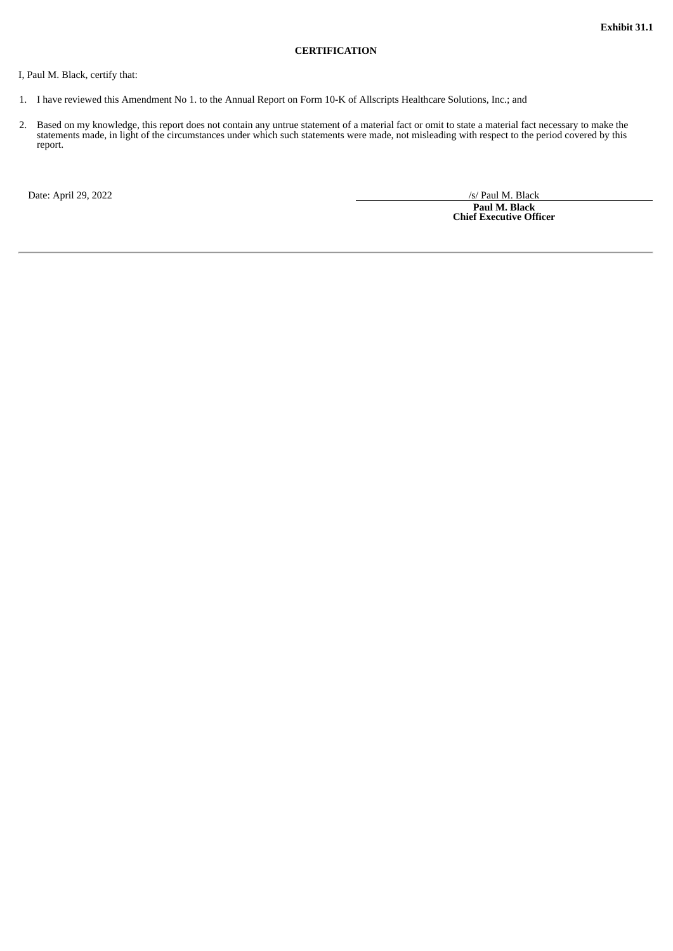#### **CERTIFICATION**

### <span id="page-34-0"></span>I, Paul M. Black, certify that:

- 1. I have reviewed this Amendment No 1. to the Annual Report on Form 10-K of Allscripts Healthcare Solutions, Inc.; and
- 2. Based on my knowledge, this report does not contain any untrue statement of a material fact or omit to state a material fact necessary to make the statements made, in light of the circumstances under which such statements were made, not misleading with respect to the period covered by this report.

Date: April 29, 2022 /s/ Paul M. Black

**Paul M. Black Chief Executive Officer**